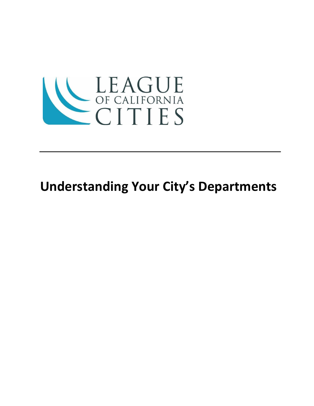

# **Understanding Your City's Departments**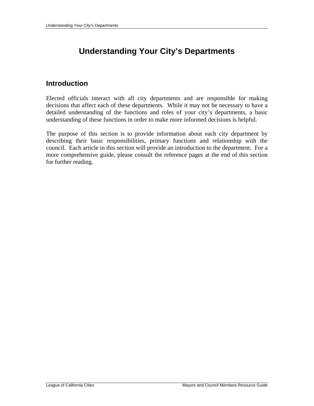# **Understanding Your City's Departments**

# **Introduction**

Elected officials interact with all city departments and are responsible for making decisions that affect each of these departments. While it may not be necessary to have a detailed understanding of the functions and roles of your city's departments, a basic understanding of these functions in order to make more informed decisions is helpful.

The purpose of this section is to provide information about each city department by describing their basic responsibilities, primary functions and relationship with the council. Each article in this section will provide an introduction to the department. For a more comprehensive guide, please consult the reference pages at the end of this section for further reading.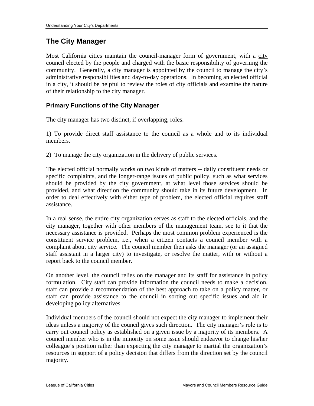# **The City Manager**

Most California cities maintain the council-manager form of government, with a city council elected by the people and charged with the basic responsibility of governing the community. Generally, a city manager is appointed by the council to manage the city's administrative responsibilities and day-to-day operations. In becoming an elected official in a city, it should be helpful to review the roles of city officials and examine the nature of their relationship to the city manager.

# **Primary Functions of the City Manager**

The city manager has two distinct, if overlapping, roles:

1) To provide direct staff assistance to the council as a whole and to its individual members.

2) To manage the city organization in the delivery of public services.

The elected official normally works on two kinds of matters -- daily constituent needs or specific complaints, and the longer-range issues of public policy, such as what services should be provided by the city government, at what level those services should be provided, and what direction the community should take in its future development. In order to deal effectively with either type of problem, the elected official requires staff assistance.

In a real sense, the entire city organization serves as staff to the elected officials, and the city manager, together with other members of the management team, see to it that the necessary assistance is provided. Perhaps the most common problem experienced is the constituent service problem, i.e., when a citizen contacts a council member with a complaint about city service. The council member then asks the manager (or an assigned staff assistant in a larger city) to investigate, or resolve the matter, with or without a report back to the council member.

On another level, the council relies on the manager and its staff for assistance in policy formulation. City staff can provide information the council needs to make a decision, staff can provide a recommendation of the best approach to take on a policy matter, or staff can provide assistance to the council in sorting out specific issues and aid in developing policy alternatives.

Individual members of the council should not expect the city manager to implement their ideas unless a majority of the council gives such direction. The city manager's role is to carry out council policy as established on a given issue by a majority of its members. A council member who is in the minority on some issue should endeavor to change his/her colleague's position rather than expecting the city manager to martial the organization's resources in support of a policy decision that differs from the direction set by the council majority.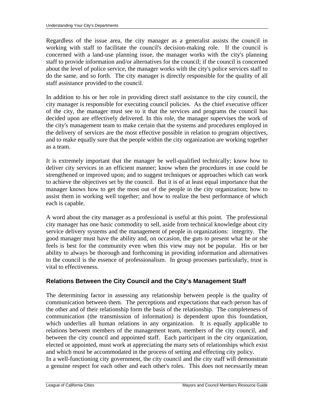Regardless of the issue area, the city manager as a generalist assists the council in working with staff to facilitate the council's decision-making role. If the council is concerned with a land-use planning issue, the manager works with the city's planning staff to provide information and/or alternatives for the council; if the council is concerned about the level of police service, the manager works with the city's police services staff to do the same, and so forth. The city manager is directly responsible for the quality of all staff assistance provided to the council.

In addition to his or her role in providing direct staff assistance to the city council, the city manager is responsible for executing council policies. As the chief executive officer of the city, the manager must see to it that the services and programs the council has decided upon are effectively delivered. In this role, the manager supervises the work of the city's management team to make certain that the systems and procedures employed in the delivery of services are the most effective possible in relation to program objectives, and to make equally sure that the people within the city organization are working together as a team.

It is extremely important that the manager be well-qualified technically; know how to deliver city services in an efficient manner; know when the procedures in use could be strengthened or improved upon; and to suggest techniques or approaches which can work to achieve the objectives set by the council. But it is of at least equal importance that the manager knows how to get the most out of the people in the city organization; how to assist them in working well together; and how to realize the best performance of which each is capable.

A word about the city manager as a professional is useful at this point. The professional city manager has one basic commodity to sell, aside from technical knowledge about city service delivery systems and the management of people in organizations: integrity. The good manager must have the ability and, on occasion, the guts to present what he or she feels is best for the community even when this view may not be popular. His or her ability to always be thorough and forthcoming in providing information and alternatives to the council is the essence of professionalism. In group processes particularly, trust is vital to effectiveness.

# **Relations Between the City Council and the City's Management Staff**

The determining factor in assessing any relationship between people is the quality of communication between them. The perceptions and expectations that each person has of the other and of their relationship form the basis of the relationship. The completeness of communication (the transmission of information) is dependent upon this foundation, which underlies all human relations in any organization. It is equally applicable to relations between members of the management team, members of the city council, and between the city council and appointed staff. Each participant in the city organization, elected or appointed, must work at appreciating the many sets of relationships which exist and which must be accommodated in the process of setting and effecting city policy.

In a well-functioning city government, the city council and the city staff will demonstrate a genuine respect for each other and each other's roles. This does not necessarily mean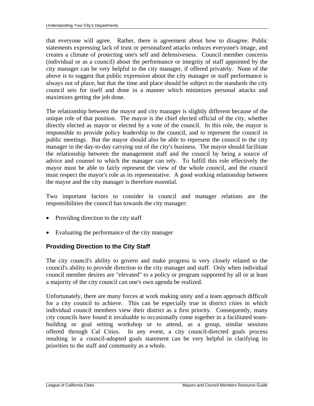that everyone will agree. Rather, there is agreement about how to disagree. Public statements expressing lack of trust or personalized attacks reduces everyone's image, and creates a climate of protecting one's self and defensiveness. Council member concerns (individual or as a council) about the performance or integrity of staff appointed by the city manager can be very helpful to the city manager, if offered privately. None of the above is to suggest that public expression about the city manager or staff performance is always out of place, but that the time and place should be subject to the standards the city council sets for itself and done in a manner which minimizes personal attacks and maximizes getting the job done.

The relationship between the mayor and city manager is slightly different because of the unique role of that position. The mayor is the chief elected official of the city, whether directly elected as mayor or elected by a vote of the council. In this role, the mayor is responsible to provide policy leadership to the council, and to represent the council in public meetings. But the mayor should also be able to represent the council to the city manager in the day-to-day carrying out of the city's business. The mayor should facilitate the relationship between the management staff and the council by being a source of advice and counsel to which the manager can rely. To fulfill this role effectively the mayor must be able to fairly represent the view of the whole council, and the council must respect the mayor's role as its representative. A good working relationship between the mayor and the city manager is therefore essential.

Two important factors to consider in council and manager relations are the responsibilities the council has towards the city manager:

- Providing direction to the city staff
- Evaluating the performance of the city manager

# **Providing Direction to the City Staff**

The city council's ability to govern and make progress is very closely related to the council's ability to provide direction to the city manager and staff. Only when individual council member desires are "elevated" to a policy or program supported by all or at least a majority of the city council can one's own agenda be realized.

Unfortunately, there are many forces at work making unity and a team approach difficult for a city council to achieve. This can be especially true in district cities in which individual council members view their district as a first priority. Consequently, many city councils have found it invaluable to occasionally come together in a facilitated teambuilding or goal setting workshop or to attend, as a group, similar sessions offered through Cal Cities. In any event, a city council-directed goals process resulting in a council-adopted goals statement can be very helpful in clarifying its priorities to the staff and community as a whole.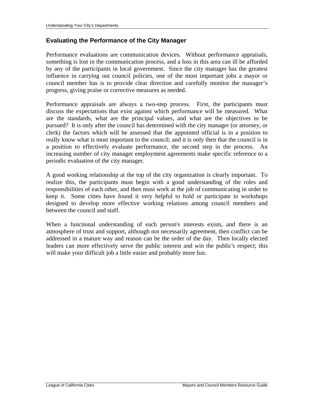### **Evaluating the Performance of the City Manager**

Performance evaluations are communication devices. Without performance appraisals, something is lost in the communication process, and a loss in this area can ill be afforded by any of the participants in local government. Since the city manager has the greatest influence in carrying out council policies, one of the most important jobs a mayor or council member has is to provide clear direction and carefully monitor the manager's progress, giving praise or corrective measures as needed.

Performance appraisals are always a two-step process. First, the participants must discuss the expectations that exist against which performance will be measured. What are the standards, what are the principal values, and what are the objectives to be pursued? It is only after the council has determined with the city manager (or attorney, or clerk) the factors which will be assessed that the appointed official is in a position to really know what is most important to the council; and it is only then that the council is in a position to effectively evaluate performance, the second step in the process. An increasing number of city manager employment agreements make specific reference to a periodic evaluation of the city manager.

A good working relationship at the top of the city organization is clearly important. To realize this, the participants must begin with a good understanding of the roles and responsibilities of each other, and then must work at the job of communicating in order to keep it. Some cities have found it very helpful to hold or participate in workshops designed to develop more effective working relations among council members and between the council and staff.

When a functional understanding of each person's interests exists, and there is an atmosphere of trust and support, although not necessarily agreement, then conflict can be addressed in a mature way and reason can be the order of the day. Then locally elected leaders can more effectively serve the public interest and win the public's respect; this will make your difficult job a little easier and probably more fun.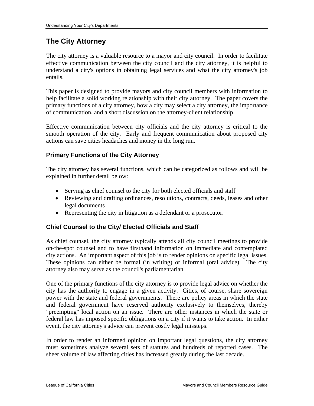# **The City Attorney**

The city attorney is a valuable resource to a mayor and city council. In order to facilitate effective communication between the city council and the city attorney, it is helpful to understand a city's options in obtaining legal services and what the city attorney's job entails.

This paper is designed to provide mayors and city council members with information to help facilitate a solid working relationship with their city attorney. The paper covers the primary functions of a city attorney, how a city may select a city attorney, the importance of communication, and a short discussion on the attorney-client relationship.

Effective communication between city officials and the city attorney is critical to the smooth operation of the city. Early and frequent communication about proposed city actions can save cities headaches and money in the long run.

# **Primary Functions of the City Attorney**

The city attorney has several functions, which can be categorized as follows and will be explained in further detail below:

- Serving as chief counsel to the city for both elected officials and staff
- Reviewing and drafting ordinances, resolutions, contracts, deeds, leases and other legal documents
- Representing the city in litigation as a defendant or a prosecutor.

# **Chief Counsel to the City/ Elected Officials and Staff**

As chief counsel, the city attorney typically attends all city council meetings to provide on-the-spot counsel and to have firsthand information on immediate and contemplated city actions. An important aspect of this job is to render opinions on specific legal issues. These opinions can either be formal (in writing) or informal (oral advice). The city attorney also may serve as the council's parliamentarian.

One of the primary functions of the city attorney is to provide legal advice on whether the city has the authority to engage in a given activity. Cities, of course, share sovereign power with the state and federal governments. There are policy areas in which the state and federal government have reserved authority exclusively to themselves, thereby "preempting" local action on an issue. There are other instances in which the state or federal law has imposed specific obligations on a city if it wants to take action. In either event, the city attorney's advice can prevent costly legal missteps.

In order to render an informed opinion on important legal questions, the city attorney must sometimes analyze several sets of statutes and hundreds of reported cases. The sheer volume of law affecting cities has increased greatly during the last decade.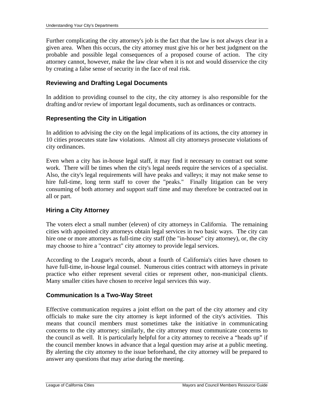Further complicating the city attorney's job is the fact that the law is not always clear in a given area. When this occurs, the city attorney must give his or her best judgment on the probable and possible legal consequences of a proposed course of action. The city attorney cannot, however, make the law clear when it is not and would disservice the city by creating a false sense of security in the face of real risk.

#### **Reviewing and Drafting Legal Documents**

In addition to providing counsel to the city, the city attorney is also responsible for the drafting and/or review of important legal documents, such as ordinances or contracts.

# **Representing the City in Litigation**

In addition to advising the city on the legal implications of its actions, the city attorney in 10 cities prosecutes state law violations. Almost all city attorneys prosecute violations of city ordinances.

Even when a city has in-house legal staff, it may find it necessary to contract out some work. There will be times when the city's legal needs require the services of a specialist. Also, the city's legal requirements will have peaks and valleys; it may not make sense to hire full-time, long term staff to cover the "peaks." Finally litigation can be very consuming of both attorney and support staff time and may therefore be contracted out in all or part.

# **Hiring a City Attorney**

The voters elect a small number (eleven) of city attorneys in California. The remaining cities with appointed city attorneys obtain legal services in two basic ways. The city can hire one or more attorneys as full-time city staff (the "in-house" city attorney), or, the city may choose to hire a "contract" city attorney to provide legal services.

According to the League's records, about a fourth of California's cities have chosen to have full-time, in-house legal counsel. Numerous cities contract with attorneys in private practice who either represent several cities or represent other, non-municipal clients. Many smaller cities have chosen to receive legal services this way.

#### **Communication Is a Two-Way Street**

Effective communication requires a joint effort on the part of the city attorney and city officials to make sure the city attorney is kept informed of the city's activities. This means that council members must sometimes take the initiative in communicating concerns to the city attorney; similarly, the city attorney must communicate concerns to the council as well. It is particularly helpful for a city attorney to receive a "heads up" if the council member knows in advance that a legal question may arise at a public meeting. By alerting the city attorney to the issue beforehand, the city attorney will be prepared to answer any questions that may arise during the meeting.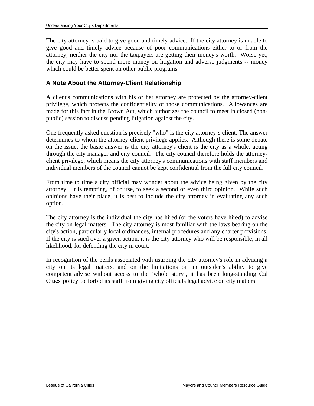The city attorney is paid to give good and timely advice. If the city attorney is unable to give good and timely advice because of poor communications either to or from the attorney, neither the city nor the taxpayers are getting their money's worth. Worse yet, the city may have to spend more money on litigation and adverse judgments -- money which could be better spent on other public programs.

#### **A Note About the Attorney-Client Relationship**

A client's communications with his or her attorney are protected by the attorney-client privilege, which protects the confidentiality of those communications. Allowances are made for this fact in the Brown Act, which authorizes the council to meet in closed (nonpublic) session to discuss pending litigation against the city.

One frequently asked question is precisely "who" is the city attorney's client. The answer determines to whom the attorney-client privilege applies. Although there is some debate on the issue, the basic answer is the city attorney's client is the city as a whole, acting through the city manager and city council. The city council therefore holds the attorneyclient privilege, which means the city attorney's communications with staff members and individual members of the council cannot be kept confidential from the full city council.

From time to time a city official may wonder about the advice being given by the city attorney. It is tempting, of course, to seek a second or even third opinion. While such opinions have their place, it is best to include the city attorney in evaluating any such option.

The city attorney is the individual the city has hired (or the voters have hired) to advise the city on legal matters. The city attorney is most familiar with the laws bearing on the city's action, particularly local ordinances, internal procedures and any charter provisions. If the city is sued over a given action, it is the city attorney who will be responsible, in all likelihood, for defending the city in court.

In recognition of the perils associated with usurping the city attorney's role in advising a city on its legal matters, and on the limitations on an outsider's ability to give competent advise without access to the 'whole story', it has been long-standing Cal Cities policy to forbid its staff from giving city officials legal advice on city matters.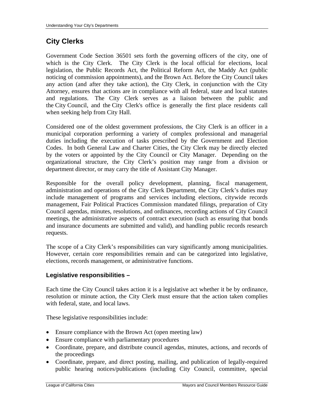# **City Clerks**

Government Code Section 36501 sets forth the governing officers of the city, one of which is the City Clerk. The City Clerk is the local official for elections, local legislation, the Public Records Act, the Political Reform Act, the Maddy Act (public noticing of commission appointments), and the Brown Act. Before the City Council takes any action (and after they take action), the City Clerk, in conjunction with the City Attorney, ensures that actions are in compliance with all federal, state and local statutes and regulations. The City Clerk serves as a liaison between the public and the City Council, and the City Clerk's office is generally the first place residents call when seeking help from City Hall.

Considered one of the oldest government professions, the City Clerk is an officer in a municipal corporation performing a variety of complex professional and managerial duties including the execution of tasks prescribed by the Government and Election Codes. In both General Law and Charter Cities, the City Clerk may be directly elected by the voters or appointed by the City Council or City Manager. Depending on the organizational structure, the City Clerk's position may range from a division or department director, or may carry the title of Assistant City Manager.

Responsible for the overall policy development, planning, fiscal management, administration and operations of the City Clerk Department, the City Clerk's duties may include management of programs and services including elections, citywide records management, Fair Political Practices Commission mandated filings, preparation of City Council agendas, minutes, resolutions, and ordinances, recording actions of City Council meetings, the administrative aspects of contract execution (such as ensuring that bonds and insurance documents are submitted and valid), and handling public records research requests.

The scope of a City Clerk's responsibilities can vary significantly among municipalities. However, certain core responsibilities remain and can be categorized into legislative, elections, records management, or administrative functions.

# **Legislative responsibilities –**

Each time the City Council takes action it is a legislative act whether it be by ordinance, resolution or minute action, the City Clerk must ensure that the action taken complies with federal, state, and local laws.

These legislative responsibilities include:

- Ensure compliance with the Brown Act (open meeting law)
- Ensure compliance with parliamentary procedures
- Coordinate, prepare, and distribute council agendas, minutes, actions, and records of the proceedings
- Coordinate, prepare, and direct posting, mailing, and publication of legally-required public hearing notices/publications (including City Council, committee, special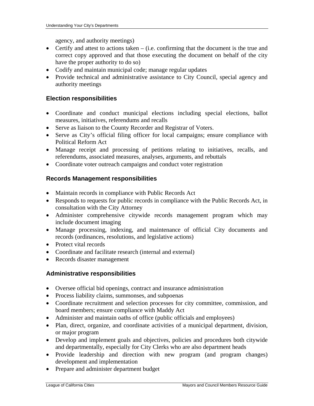agency, and authority meetings)

- Certify and attest to actions taken  $-$  (i.e. confirming that the document is the true and correct copy approved and that those executing the document on behalf of the city have the proper authority to do so)
- Codify and maintain municipal code; manage regular updates
- Provide technical and administrative assistance to City Council, special agency and authority meetings

#### **Election responsibilities**

- Coordinate and conduct municipal elections including special elections, ballot measures, initiatives, referendums and recalls
- Serve as liaison to the County Recorder and Registrar of Voters.
- Serve as City's official filing officer for local campaigns; ensure compliance with Political Reform Act
- Manage receipt and processing of petitions relating to initiatives, recalls, and referendums, associated measures, analyses, arguments, and rebuttals
- Coordinate voter outreach campaigns and conduct voter registration

#### **Records Management responsibilities**

- Maintain records in compliance with Public Records Act
- Responds to requests for public records in compliance with the Public Records Act, in consultation with the City Attorney
- Administer comprehensive citywide records management program which may include document imaging
- Manage processing, indexing, and maintenance of official City documents and records (ordinances, resolutions, and legislative actions)
- Protect vital records
- Coordinate and facilitate research (internal and external)
- Records disaster management

#### **Administrative responsibilities**

- Oversee official bid openings, contract and insurance administration
- Process liability claims, summonses, and subpoenas
- Coordinate recruitment and selection processes for city committee, commission, and board members; ensure compliance with Maddy Act
- Administer and maintain oaths of office (public officials and employees)
- Plan, direct, organize, and coordinate activities of a municipal department, division, or major program
- Develop and implement goals and objectives, policies and procedures both citywide and departmentally, especially for City Clerks who are also department heads
- Provide leadership and direction with new program (and program changes) development and implementation
- Prepare and administer department budget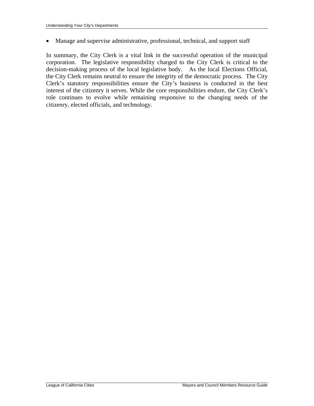• Manage and supervise administrative, professional, technical, and support staff

In summary, the City Clerk is a vital link in the successful operation of the municipal corporation. The legislative responsibility charged to the City Clerk is critical to the decision-making process of the local legislative body. As the local Elections Official, the City Clerk remains neutral to ensure the integrity of the democratic process. The City Clerk's statutory responsibilities ensure the City's business is conducted in the best interest of the citizenry it serves. While the core responsibilities endure, the City Clerk's role continues to evolve while remaining responsive to the changing needs of the citizenry, elected officials, and technology.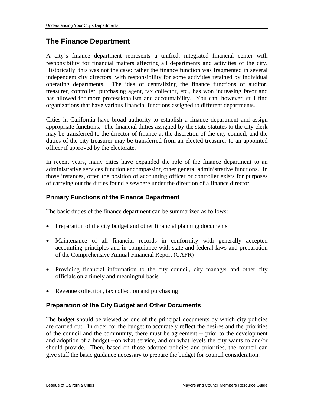# **The Finance Department**

A city's finance department represents a unified, integrated financial center with responsibility for financial matters affecting all departments and activities of the city. Historically, this was not the case: rather the finance function was fragmented in several independent city directors, with responsibility for some activities retained by individual operating departments. The idea of centralizing the finance functions of auditor, treasurer, controller, purchasing agent, tax collector, etc., has won increasing favor and has allowed for more professionalism and accountability. You can, however, still find organizations that have various financial functions assigned to different departments.

Cities in California have broad authority to establish a finance department and assign appropriate functions. The financial duties assigned by the state statutes to the city clerk may be transferred to the director of finance at the discretion of the city council, and the duties of the city treasurer may be transferred from an elected treasurer to an appointed officer if approved by the electorate.

In recent years, many cities have expanded the role of the finance department to an administrative services function encompassing other general administrative functions. In those instances, often the position of accounting officer or controller exists for purposes of carrying out the duties found elsewhere under the direction of a finance director.

#### **Primary Functions of the Finance Department**

The basic duties of the finance department can be summarized as follows:

- Preparation of the city budget and other financial planning documents
- Maintenance of all financial records in conformity with generally accepted accounting principles and in compliance with state and federal laws and preparation of the Comprehensive Annual Financial Report (CAFR)
- Providing financial information to the city council, city manager and other city officials on a timely and meaningful basis
- Revenue collection, tax collection and purchasing

#### **Preparation of the City Budget and Other Documents**

The budget should be viewed as one of the principal documents by which city policies are carried out. In order for the budget to accurately reflect the desires and the priorities of the council and the community, there must be agreement -- prior to the development and adoption of a budget --on what service, and on what levels the city wants to and/or should provide. Then, based on those adopted policies and priorities, the council can give staff the basic guidance necessary to prepare the budget for council consideration.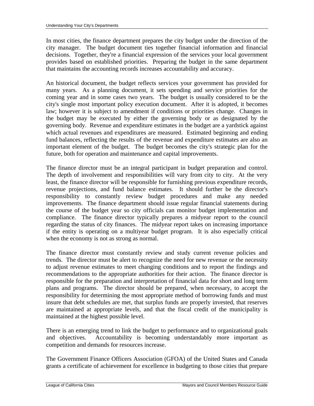In most cities, the finance department prepares the city budget under the direction of the city manager. The budget document ties together financial information and financial decisions. Together, they're a financial expression of the services your local government provides based on established priorities. Preparing the budget in the same department that maintains the accounting records increases accountability and accuracy.

An historical document, the budget reflects services your government has provided for many years. As a planning document, it sets spending and service priorities for the coming year and in some cases two years. The budget is usually considered to be the city's single most important policy execution document. After it is adopted, it becomes law; however it is subject to amendment if conditions or priorities change. Changes in the budget may be executed by either the governing body or as designated by the governing body. Revenue and expenditure estimates in the budget are a yardstick against which actual revenues and expenditures are measured. Estimated beginning and ending fund balances, reflecting the results of the revenue and expenditure estimates are also an important element of the budget. The budget becomes the city's strategic plan for the future, both for operation and maintenance and capital improvements.

The finance director must be an integral participant in budget preparation and control. The depth of involvement and responsibilities will vary from city to city. At the very least, the finance director will be responsible for furnishing previous expenditure records, revenue projections, and fund balance estimates. It should further be the director's responsibility to constantly review budget procedures and make any needed improvements. The finance department should issue regular financial statements during the course of the budget year so city officials can monitor budget implementation and compliance. The finance director typically prepares a midyear report to the council regarding the status of city finances. The midyear report takes on increasing importance if the entity is operating on a multiyear budget program. It is also especially critical when the economy is not as strong as normal.

The finance director must constantly review and study current revenue policies and trends. The director must be alert to recognize the need for new revenue or the necessity to adjust revenue estimates to meet changing conditions and to report the findings and recommendations to the appropriate authorities for their action. The finance director is responsible for the preparation and interpretation of financial data for short and long term plans and programs. The director should be prepared, when necessary, to accept the responsibility for determining the most appropriate method of borrowing funds and must insure that debt schedules are met, that surplus funds are properly invested, that reserves are maintained at appropriate levels, and that the fiscal credit of the municipality is maintained at the highest possible level.

There is an emerging trend to link the budget to performance and to organizational goals and objectives. Accountability is becoming understandably more important as competition and demands for resources increase.

The Government Finance Officers Association (GFOA) of the United States and Canada grants a certificate of achievement for excellence in budgeting to those cities that prepare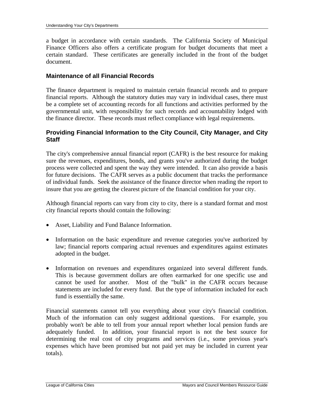a budget in accordance with certain standards. The California Society of Municipal Finance Officers also offers a certificate program for budget documents that meet a certain standard. These certificates are generally included in the front of the budget document.

#### **Maintenance of all Financial Records**

The finance department is required to maintain certain financial records and to prepare financial reports. Although the statutory duties may vary in individual cases, there must be a complete set of accounting records for all functions and activities performed by the governmental unit, with responsibility for such records and accountability lodged with the finance director. These records must reflect compliance with legal requirements.

#### **Providing Financial Information to the City Council, City Manager, and City Staff**

The city's comprehensive annual financial report (CAFR) is the best resource for making sure the revenues, expenditures, bonds, and grants you've authorized during the budget process were collected and spent the way they were intended. It can also provide a basis for future decisions. The CAFR serves as a public document that tracks the performance of individual funds. Seek the assistance of the finance director when reading the report to insure that you are getting the clearest picture of the financial condition for your city.

Although financial reports can vary from city to city, there is a standard format and most city financial reports should contain the following:

- Asset, Liability and Fund Balance Information.
- Information on the basic expenditure and revenue categories you've authorized by law; financial reports comparing actual revenues and expenditures against estimates adopted in the budget.
- Information on revenues and expenditures organized into several different funds. This is because government dollars are often earmarked for one specific use and cannot be used for another. Most of the "bulk" in the CAFR occurs because statements are included for every fund. But the type of information included for each fund is essentially the same.

Financial statements cannot tell you everything about your city's financial condition. Much of the information can only suggest additional questions. For example, you probably won't be able to tell from your annual report whether local pension funds are adequately funded. In addition, your financial report is not the best source for determining the real cost of city programs and services (i.e., some previous year's expenses which have been promised but not paid yet may be included in current year totals).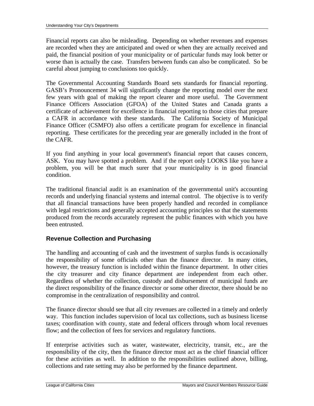Financial reports can also be misleading. Depending on whether revenues and expenses are recorded when they are anticipated and owed or when they are actually received and paid, the financial position of your municipality or of particular funds may look better or worse than is actually the case. Transfers between funds can also be complicated. So be careful about jumping to conclusions too quickly.

The Governmental Accounting Standards Board sets standards for financial reporting. GASB's Pronouncement 34 will significantly change the reporting model over the next few years with goal of making the report clearer and more useful. The Government Finance Officers Association (GFOA) of the United States and Canada grants a certificate of achievement for excellence in financial reporting to those cities that prepare a CAFR in accordance with these standards. The California Society of Municipal Finance Officer (CSMFO) also offers a certificate program for excellence in financial reporting. These certificates for the preceding year are generally included in the front of the CAFR.

If you find anything in your local government's financial report that causes concern, ASK. You may have spotted a problem. And if the report only LOOKS like you have a problem, you will be that much surer that your municipality is in good financial condition.

The traditional financial audit is an examination of the governmental unit's accounting records and underlying financial systems and internal control. The objective is to verify that all financial transactions have been properly handled and recorded in compliance with legal restrictions and generally accepted accounting principles so that the statements produced from the records accurately represent the public finances with which you have been entrusted.

# **Revenue Collection and Purchasing**

The handling and accounting of cash and the investment of surplus funds is occasionally the responsibility of some officials other than the finance director. In many cities, however, the treasury function is included within the finance department. In other cities the city treasurer and city finance department are independent from each other. Regardless of whether the collection, custody and disbursement of municipal funds are the direct responsibility of the finance director or some other director, there should be no compromise in the centralization of responsibility and control.

The finance director should see that all city revenues are collected in a timely and orderly way. This function includes supervision of local tax collections, such as business license taxes; coordination with county, state and federal officers through whom local revenues flow; and the collection of fees for services and regulatory functions.

If enterprise activities such as water, wastewater, electricity, transit, etc., are the responsibility of the city, then the finance director must act as the chief financial officer for these activities as well. In addition to the responsibilities outlined above, billing, collections and rate setting may also be performed by the finance department.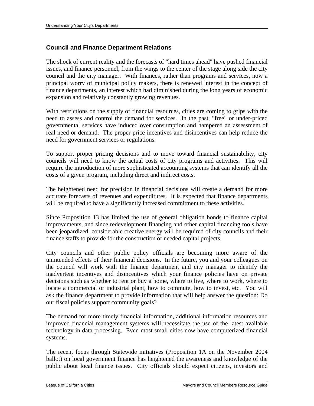# **Council and Finance Department Relations**

The shock of current reality and the forecasts of "hard times ahead" have pushed financial issues, and finance personnel, from the wings to the center of the stage along side the city council and the city manager. With finances, rather than programs and services, now a principal worry of municipal policy makers, there is renewed interest in the concept of finance departments, an interest which had diminished during the long years of economic expansion and relatively constantly growing revenues.

With restrictions on the supply of financial resources, cities are coming to grips with the need to assess and control the demand for services. In the past, "free" or under-priced governmental services have induced over consumption and hampered an assessment of real need or demand. The proper price incentives and disincentives can help reduce the need for government services or regulations.

To support proper pricing decisions and to move toward financial sustainability, city councils will need to know the actual costs of city programs and activities. This will require the introduction of more sophisticated accounting systems that can identify all the costs of a given program, including direct and indirect costs.

The heightened need for precision in financial decisions will create a demand for more accurate forecasts of revenues and expenditures. It is expected that finance departments will be required to have a significantly increased commitment to these activities.

Since Proposition 13 has limited the use of general obligation bonds to finance capital improvements, and since redevelopment financing and other capital financing tools have been jeopardized, considerable creative energy will be required of city councils and their finance staffs to provide for the construction of needed capital projects.

City councils and other public policy officials are becoming more aware of the unintended effects of their financial decisions. In the future, you and your colleagues on the council will work with the finance department and city manager to identify the inadvertent incentives and disincentives which your finance policies have on private decisions such as whether to rent or buy a home, where to live, where to work, where to locate a commercial or industrial plant, how to commute, how to invest, etc. You will ask the finance department to provide information that will help answer the question: Do our fiscal policies support community goals?

The demand for more timely financial information, additional information resources and improved financial management systems will necessitate the use of the latest available technology in data processing. Even most small cities now have computerized financial systems.

The recent focus through Statewide initiatives (Proposition 1A on the November 2004 ballot) on local government finance has heightened the awareness and knowledge of the public about local finance issues. City officials should expect citizens, investors and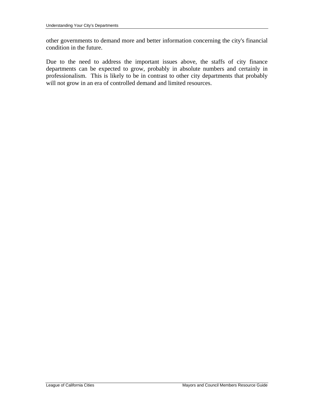other governments to demand more and better information concerning the city's financial condition in the future.

Due to the need to address the important issues above, the staffs of city finance departments can be expected to grow, probably in absolute numbers and certainly in professionalism. This is likely to be in contrast to other city departments that probably will not grow in an era of controlled demand and limited resources.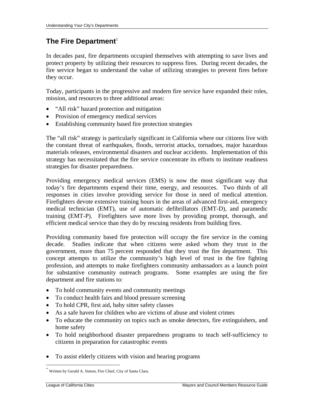# **The Fire Department**<sup>1</sup>

In decades past, fire departments occupied themselves with attempting to save lives and protect property by utilizing their resources to suppress fires. During recent decades, the fire service began to understand the value of utilizing strategies to prevent fires before they occur.

Today, participants in the progressive and modern fire service have expanded their roles, mission, and resources to three additional areas:

- "All risk" hazard protection and mitigation
- Provision of emergency medical services
- Establishing community based fire protection strategies

The "all risk" strategy is particularly significant in California where our citizens live with the constant threat of earthquakes, floods, terrorist attacks, tornadoes, major hazardous materials releases, environmental disasters and nuclear accidents. Implementation of this strategy has necessitated that the fire service concentrate its efforts to institute readiness strategies for disaster preparedness.

Providing emergency medical services (EMS) is now the most significant way that today's fire departments expend their time, energy, and resources. Two thirds of all responses in cities involve providing service for those in need of medical attention. Firefighters devote extensive training hours in the areas of advanced first-aid, emergency medical technician (EMT), use of automatic defibrillators (EMT-D), and paramedic training (EMT-P). Firefighters save more lives by providing prompt, thorough, and efficient medical service than they do by rescuing residents from building fires.

Providing community based fire protection will occupy the fire service in the coming decade. Studies indicate that when citizens were asked whom they trust in the government, more than 75 percent responded that they trust the fire department. This concept attempts to utilize the community's high level of trust in the fire fighting profession, and attempts to make firefighters community ambassadors as a launch point for substantive community outreach programs. Some examples are using the fire department and fire stations to:

- To hold community events and community meetings
- To conduct health fairs and blood pressure screening
- To hold CPR, first aid, baby sitter safety classes
- As a safe haven for children who are victims of abuse and violent crimes
- To educate the community on topics such as smoke detectors, fire extinguishers, and home safety
- To hold neighborhood disaster preparedness programs to teach self-sufficiency to citizens in preparation for catastrophic events
- To assist elderly citizens with vision and hearing programs

Written by Gerald A. Simon, Fire Chief, City of Santa Clara.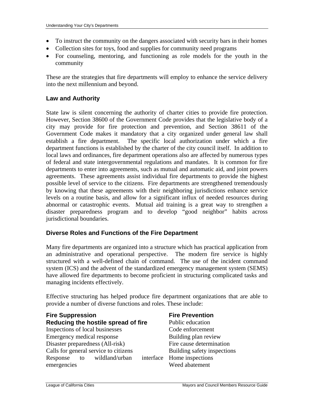- To instruct the community on the dangers associated with security bars in their homes
- Collection sites for toys, food and supplies for community need programs
- For counseling, mentoring, and functioning as role models for the youth in the community

These are the strategies that fire departments will employ to enhance the service delivery into the next millennium and beyond.

#### **Law and Authority**

State law is silent concerning the authority of charter cities to provide fire protection. However, Section 38600 of the Government Code provides that the legislative body of a city may provide for fire protection and prevention, and Section 38611 of the Government Code makes it mandatory that a city organized under general law shall establish a fire department. The specific local authorization under which a fire department functions is established by the charter of the city council itself. In addition to local laws and ordinances, fire department operations also are affected by numerous types of federal and state intergovernmental regulations and mandates. It is common for fire departments to enter into agreements, such as mutual and automatic aid, and joint powers agreements. These agreements assist individual fire departments to provide the highest possible level of service to the citizens. Fire departments are strengthened tremendously by knowing that these agreements with their neighboring jurisdictions enhance service levels on a routine basis, and allow for a significant influx of needed resources during abnormal or catastrophic events. Mutual aid training is a great way to strengthen a disaster preparedness program and to develop "good neighbor" habits across jurisdictional boundaries.

#### **Diverse Roles and Functions of the Fire Department**

Many fire departments are organized into a structure which has practical application from an administrative and operational perspective. The modern fire service is highly structured with a well-defined chain of command. The use of the incident command system (ICS) and the advent of the standardized emergency management system (SEMS) have allowed fire departments to become proficient in structuring complicated tasks and managing incidents effectively.

Effective structuring has helped produce fire department organizations that are able to provide a number of diverse functions and roles. These include:

| <b>Fire Suppression</b>               | <b>Fire Prevention</b>      |
|---------------------------------------|-----------------------------|
| Reducing the hostile spread of fire   | Public education            |
| Inspections of local businesses       | Code enforcement            |
| Emergency medical response            | Building plan review        |
| Disaster preparedness (All-risk)      | Fire cause determination    |
| Calls for general service to citizens | Building safety inspections |
| Response to wildland/urban            | interface Home inspections  |
| emergencies                           | Weed abatement              |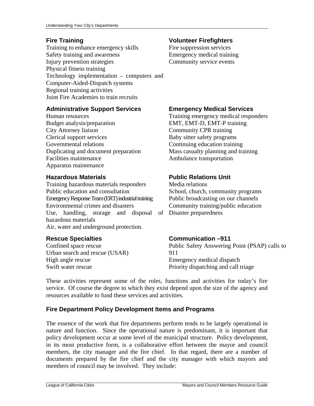# **Fire Training**

Training to enhance emergency skills Safety training and awareness Injury prevention strategies Physical fitness training Technology implementation – computers and Computer-Aided-Dispatch systems Regional training activities Joint Fire Academies to train recruits

# **Volunteer Firefighters**

Fire suppression services Emergency medical training Community service events

#### **Administrative Support Services**

Human resources Budget analysis/preparation City Attorney liaison Clerical support services Governmental relations Duplicating and document preparation Facilities maintenance Apparatus maintenance

#### **Hazardous Materials**

Training hazardous materials responders Public education and consultation Emergency Response Team (ERT) industrial training Environmental crimes and disasters Use, handling, storage and disposal of Disaster preparedness hazardous materials Air, water and underground protection.

#### **Rescue Specialties**

Confined space rescue Urban search and rescue (USAR) High angle rescue Swift water rescue

#### **Emergency Medical Services**

Training emergency medical responders EMT, EMT-D, EMT-P training Community CPR training Baby sitter safety programs Continuing education training Mass casualty planning and training Ambulance transportation

# **Public Relations Unit**

Media relations School, church, community programs Public broadcasting on our channels Community training/public education

#### **Communication –911**

Public Safety Answering Point (PSAP) calls to 911 Emergency medical dispatch Priority dispatching and call triage

These activities represent some of the roles, functions and activities for today's fire service. Of course the degree to which they exist depend upon the size of the agency and resources available to fund these services and activities.

# **Fire Department Policy Development Items and Programs**

The essence of the work that fire departments perform tends to be largely operational in nature and function. Since the operational nature is predominant, it is important that policy development occur at some level of the municipal structure. Policy development, in its most productive form, is a collaborative effort between the mayor and council members, the city manager and the fire chief. In that regard, there are a number of documents prepared by the fire chief and the city manager with which mayors and members of council may be involved. They include: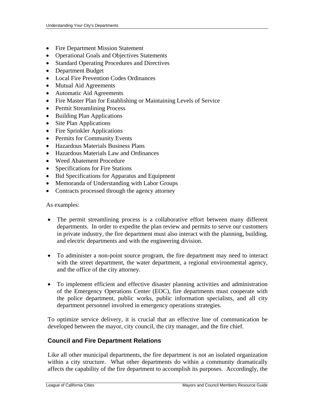- Fire Department Mission Statement
- Operational Goals and Objectives Statements
- Standard Operating Procedures and Directives
- Department Budget
- Local Fire Prevention Codes Ordinances
- Mutual Aid Agreements
- Automatic Aid Agreements
- Fire Master Plan for Establishing or Maintaining Levels of Service
- Permit Streamlining Process
- Building Plan Applications
- Site Plan Applications
- Fire Sprinkler Applications
- Permits for Community Events
- Hazardous Materials Business Plans
- Hazardous Materials Law and Ordinances
- Weed Abatement Procedure
- Specifications for Fire Stations
- Bid Specifications for Apparatus and Equipment
- Memoranda of Understanding with Labor Groups
- Contracts processed through the agency attorney

#### As examples:

- The permit streamlining process is a collaborative effort between many different departments. In order to expedite the plan review and permits to serve our customers in private industry, the fire department must also interact with the planning, building, and electric departments and with the engineering division.
- To administer a non-point source program, the fire department may need to interact with the street department, the water department, a regional environmental agency, and the office of the city attorney.
- To implement efficient and effective disaster planning activities and administration of the Emergency Operations Center (EOC), fire departments must cooperate with the police department, public works, public information specialists, and all city department personnel involved in emergency operations strategies.

To optimize service delivery, it is crucial that an effective line of communication be developed between the mayor, city council, the city manager, and the fire chief.

# **Council and Fire Department Relations**

Like all other municipal departments, the fire department is not an isolated organization within a city structure. What other departments do within a community dramatically affects the capability of the fire department to accomplish its purposes. Accordingly, the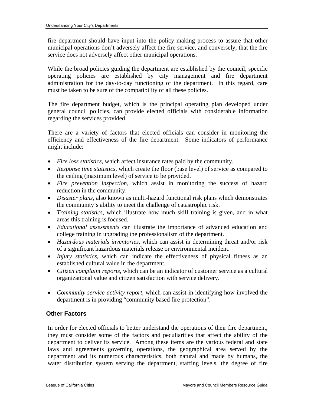fire department should have input into the policy making process to assure that other municipal operations don't adversely affect the fire service, and conversely, that the fire service does not adversely affect other municipal operations.

While the broad policies guiding the department are established by the council, specific operating policies are established by city management and fire department administration for the day-to-day functioning of the department. In this regard, care must be taken to be sure of the compatibility of all these policies.

The fire department budget, which is the principal operating plan developed under general council policies, can provide elected officials with considerable information regarding the services provided.

There are a variety of factors that elected officials can consider in monitoring the efficiency and effectiveness of the fire department. Some indicators of performance might include:

- *Fire loss statistics,* which affect insurance rates paid by the community.
- *Response time statistics,* which create the floor (base level) of service as compared to the ceiling (maximum level) of service to be provided.
- *Fire prevention inspection,* which assist in monitoring the success of hazard reduction in the community.
- *Disaster plans*, also known as multi-hazard functional risk plans which demonstrates the community's ability to meet the challenge of catastrophic risk.
- *Training statistics,* which illustrate how much skill training is given, and in what areas this training is focused.
- *Educational assessments* can illustrate the importance of advanced education and college training in upgrading the professionalism of the department.
- *Hazardous materials inventories,* which can assist in determining threat and/or risk of a significant hazardous materials release or environmental incident.
- *Injury statistics,* which can indicate the effectiveness of physical fitness as an established cultural value in the department.
- *Citizen complaint reports,* which can be an indicator of customer service as a cultural organizational value and citizen satisfaction with service delivery.
- *Community service activity report,* which can assist in identifying how involved the department is in providing "community based fire protection".

# **Other Factors**

In order for elected officials to better understand the operations of their fire department, they must consider some of the factors and peculiarities that affect the ability of the department to deliver its service. Among these items are the various federal and state laws and agreements governing operations, the geographical area served by the department and its numerous characteristics, both natural and made by humans, the water distribution system serving the department, staffing levels, the degree of fire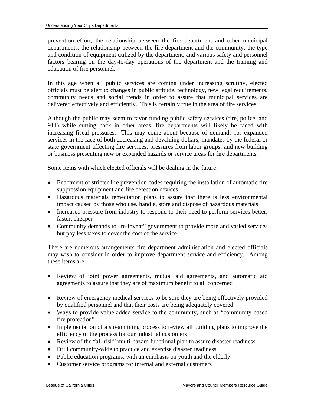prevention effort, the relationship between the fire department and other municipal departments, the relationship between the fire department and the community, the type and condition of equipment utilized by the department, and various safety and personnel factors bearing on the day-to-day operations of the department and the training and education of fire personnel.

In this age when all public services are coming under increasing scrutiny, elected officials must be alert to changes in public attitude, technology, new legal requirements, community needs and social trends in order to assure that municipal services are delivered effectively and efficiently. This is certainly true in the area of fire services.

Although the public may seem to favor funding public safety services (fire, police, and 911) while cutting back in other areas, fire departments will likely be faced with increasing fiscal pressures. This may come about because of demands for expanded services in the face of both decreasing and devaluing dollars; mandates by the federal or state government affecting fire services; pressures from labor groups; and new building or business presenting new or expanded hazards or service areas for fire departments.

Some items with which elected officials will be dealing in the future:

- Enactment of stricter fire prevention codes requiring the installation of automatic fire suppression equipment and fire detection devices
- Hazardous materials remediation plans to assure that there is less environmental impact caused by those who use, handle, store and dispose of hazardous materials
- Increased pressure from industry to respond to their need to perform services better, faster, cheaper
- Community demands to "re-invent" government to provide more and varied services but pay less taxes to cover the cost of the service

There are numerous arrangements fire department administration and elected officials may wish to consider in order to improve department service and efficiency. Among these items are:

- Review of joint power agreements, mutual aid agreements, and automatic aid agreements to assure that they are of maximum benefit to all concerned
- Review of emergency medical services to be sure they are being effectively provided by qualified personnel and that their costs are being adequately covered
- Ways to provide value added service to the community, such as "community based fire protection"
- Implementation of a streamlining process to review all building plans to improve the efficiency of the process for our industrial customers
- Review of the "all-risk" multi-hazard functional plan to assure disaster readiness
- Drill community-wide to practice and exercise disaster readiness
- Public education programs; with an emphasis on youth and the elderly
- Customer service programs for internal and external customers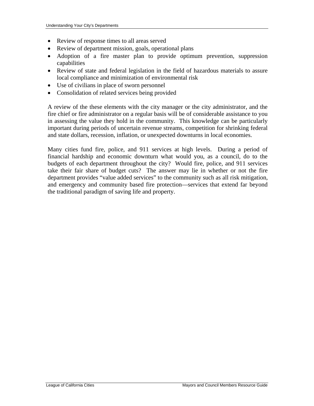- Review of response times to all areas served
- Review of department mission, goals, operational plans
- Adoption of a fire master plan to provide optimum prevention, suppression capabilities
- Review of state and federal legislation in the field of hazardous materials to assure local compliance and minimization of environmental risk
- Use of civilians in place of sworn personnel
- Consolidation of related services being provided

A review of the these elements with the city manager or the city administrator, and the fire chief or fire administrator on a regular basis will be of considerable assistance to you in assessing the value they hold in the community. This knowledge can be particularly important during periods of uncertain revenue streams, competition for shrinking federal and state dollars, recession, inflation, or unexpected downturns in local economies.

Many cities fund fire, police, and 911 services at high levels. During a period of financial hardship and economic downturn what would you, as a council, do to the budgets of each department throughout the city? Would fire, police, and 911 services take their fair share of budget cuts? The answer may lie in whether or not the fire department provides "value added services" to the community such as all risk mitigation, and emergency and community based fire protection—services that extend far beyond the traditional paradigm of saving life and property.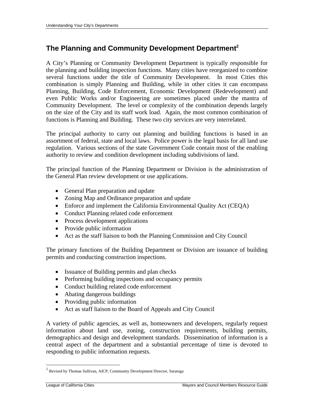# **The Planning and Community Development Department2**

A City's Planning or Community Development Department is typically responsible for the planning and building inspection functions. Many cities have reorganized to combine several functions under the title of Community Development. In most Cities this combination is simply Planning and Building, while in other cities it can encompass Planning, Building, Code Enforcement, Economic Development (Redevelopment) and even Public Works and/or Engineering are sometimes placed under the mantra of Community Development. The level or complexity of the combination depends largely on the size of the City and its staff work load. Again, the most common combination of functions is Planning and Building. These two city services are very interrelated.

The principal authority to carry out planning and building functions is based in an assortment of federal, state and local laws. Police power is the legal basis for all land use regulation. Various sections of the state Government Code contain most of the enabling authority to review and condition development including subdivisions of land.

The principal function of the Planning Department or Division is the administration of the General Plan review development or use applications.

- General Plan preparation and update
- Zoning Map and Ordinance preparation and update
- Enforce and implement the California Environmental Quality Act (CEQA)
- Conduct Planning related code enforcement
- Process development applications
- Provide public information
- Act as the staff liaison to both the Planning Commission and City Council

The primary functions of the Building Department or Division are issuance of building permits and conducting construction inspections.

- Issuance of Building permits and plan checks
- Performing building inspections and occupancy permits
- Conduct building related code enforcement
- Abating dangerous buildings
- Providing public information
- Act as staff liaison to the Board of Appeals and City Council

A variety of public agencies, as well as, homeowners and developers, regularly request information about land use, zoning, construction requirements, building permits, demographics and design and development standards. Dissemination of information is a central aspect of the department and a substantial percentage of time is devoted to responding to public information requests.

 $2$  Revised by Thomas Sullivan, AICP, Community Development Director, Saratoga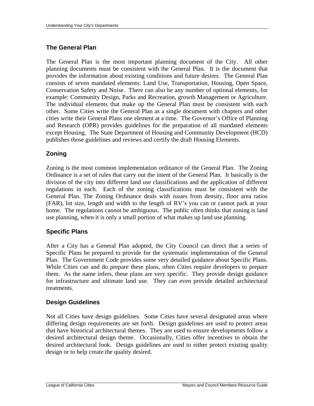# **The General Plan**

The General Plan is the most important planning document of the City. All other planning documents must be consistent with the General Plan. It is the document that provides the information about existing conditions and future desires. The General Plan consists of seven mandated elements: Land Use, Transportation, Housing, Open Space, Conservation Safety and Noise. There can also be any number of optional elements, for example: Community Design, Parks and Recreation, growth Management or Agriculture. The individual elements that make up the General Plan must be consistent with each other. Some Cities write the General Plan as a single document with chapters and other cities write their General Plans one element at a time. The Governor's Office of Planning and Research (OPR) provides guidelines for the preparation of all mandated elements except Housing. The State Department of Housing and Community Development (HCD) publishes those guidelines and reviews and certify the draft Housing Elements.

# **Zoning**

Zoning is the most common implementation ordinance of the General Plan. The Zoning Ordinance is a set of rules that carry out the intent of the General Plan. It basically is the division of the city into different land use classifications and the application of different regulations in each. Each of the zoning classifications must be consistent with the General Plan. The Zoning Ordinance deals with issues from density, floor area ratios (FAR), lot size, length and width to the length of RV's you can or cannot park at your home. The regulations cannot be ambiguous. The public often thinks that zoning is land use planning, when it is only a small portion of what makes up land use planning.

# **Specific Plans**

After a City has a General Plan adopted, the City Council can direct that a series of Specific Plans be prepared to provide for the systematic implementation of the General Plan. The Government Code provides some very detailed guidance about Specific Plans. While Cities can and do prepare these plans, often Cities require developers to prepare them. As the name infers, these plans are very specific. They provide design guidance for infrastructure and ultimate land use. They can even provide detailed architectural treatments.

# **Design Guidelines**

Not all Cities have design guidelines. Some Cities have several designated areas where differing design requirements are set forth. Design guidelines are used to protect areas that have historical architectural themes. They are used to ensure developments follow a desired architectural design theme. Occasionally, Cities offer incentives to obtain the desired architectural look. Design guidelines are used to either protect existing quality design or to help create the quality desired.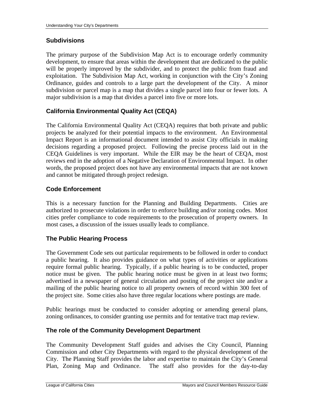#### **Subdivisions**

The primary purpose of the Subdivision Map Act is to encourage orderly community development, to ensure that areas within the development that are dedicated to the public will be properly improved by the subdivider, and to protect the public from fraud and exploitation. The Subdivision Map Act, working in conjunction with the City's Zoning Ordinance, guides and controls to a large part the development of the City. A minor subdivision or parcel map is a map that divides a single parcel into four or fewer lots. A major subdivision is a map that divides a parcel into five or more lots.

# **California Environmental Quality Act (CEQA)**

The California Environmental Quality Act (CEQA) requires that both private and public projects be analyzed for their potential impacts to the environment. An Environmental Impact Report is an informational document intended to assist City officials in making decisions regarding a proposed project. Following the precise process laid out in the CEQA Guidelines is very important. While the EIR may be the heart of CEQA, most reviews end in the adoption of a Negative Declaration of Environmental Impact. In other words, the proposed project does not have any environmental impacts that are not known and cannot be mitigated through project redesign.

#### **Code Enforcement**

This is a necessary function for the Planning and Building Departments. Cities are authorized to prosecute violations in order to enforce building and/or zoning codes. Most cities prefer compliance to code requirements to the prosecution of property owners. In most cases, a discussion of the issues usually leads to compliance.

#### **The Public Hearing Process**

The Government Code sets out particular requirements to be followed in order to conduct a public hearing. It also provides guidance on what types of activities or applications require formal public hearing. Typically, if a public hearing is to be conducted, proper notice must be given. The public hearing notice must be given in at least two forms; advertised in a newspaper of general circulation and posting of the project site and/or a mailing of the public hearing notice to all property owners of record within 300 feet of the project site. Some cities also have three regular locations where postings are made.

Public hearings must be conducted to consider adopting or amending general plans, zoning ordinances, to consider granting use permits and for tentative tract map review.

#### **The role of the Community Development Department**

The Community Development Staff guides and advises the City Council, Planning Commission and other City Departments with regard to the physical development of the City. The Planning Staff provides the labor and expertise to maintain the City's General Plan, Zoning Map and Ordinance. The staff also provides for the day-to-day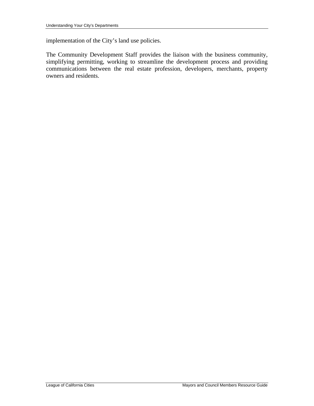implementation of the City's land use policies.

The Community Development Staff provides the liaison with the business community, simplifying permitting, working to streamline the development process and providing communications between the real estate profession, developers, merchants, property owners and residents.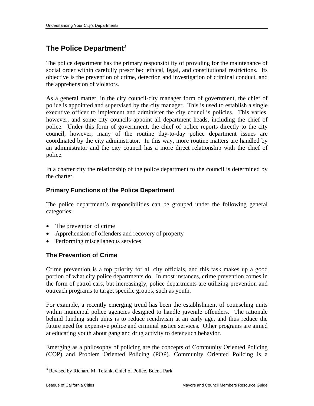# **The Police Department**<sup>3</sup>

The police department has the primary responsibility of providing for the maintenance of social order within carefully prescribed ethical, legal, and constitutional restrictions. Its objective is the prevention of crime, detection and investigation of criminal conduct, and the apprehension of violators.

As a general matter, in the city council-city manager form of government, the chief of police is appointed and supervised by the city manager. This is used to establish a single executive officer to implement and administer the city council's policies. This varies, however, and some city councils appoint all department heads, including the chief of police. Under this form of government, the chief of police reports directly to the city council, however, many of the routine day-to-day police department issues are coordinated by the city administrator. In this way, more routine matters are handled by an administrator and the city council has a more direct relationship with the chief of police.

In a charter city the relationship of the police department to the council is determined by the charter.

#### **Primary Functions of the Police Department**

The police department's responsibilities can be grouped under the following general categories:

- The prevention of crime
- Apprehension of offenders and recovery of property
- Performing miscellaneous services

#### **The Prevention of Crime**

Crime prevention is a top priority for all city officials, and this task makes up a good portion of what city police departments do. In most instances, crime prevention comes in the form of patrol cars, but increasingly, police departments are utilizing prevention and outreach programs to target specific groups, such as youth.

For example, a recently emerging trend has been the establishment of counseling units within municipal police agencies designed to handle juvenile offenders. The rationale behind funding such units is to reduce recidivism at an early age, and thus reduce the future need for expensive police and criminal justice services. Other programs are aimed at educating youth about gang and drug activity to deter such behavior.

Emerging as a philosophy of policing are the concepts of Community Oriented Policing (COP) and Problem Oriented Policing (POP). Community Oriented Policing is a

<sup>&</sup>lt;sup>3</sup> Revised by Richard M. Tefank, Chief of Police, Buena Park.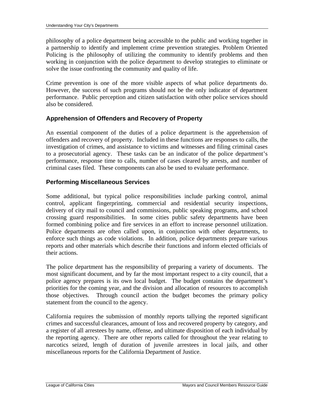philosophy of a police department being accessible to the public and working together in a partnership to identify and implement crime prevention strategies. Problem Oriented Policing is the philosophy of utilizing the community to identify problems and then working in conjunction with the police department to develop strategies to eliminate or solve the issue confronting the community and quality of life.

Crime prevention is one of the more visible aspects of what police departments do. However, the success of such programs should not be the only indicator of department performance. Public perception and citizen satisfaction with other police services should also be considered.

#### **Apprehension of Offenders and Recovery of Property**

An essential component of the duties of a police department is the apprehension of offenders and recovery of property. Included in these functions are responses to calls, the investigation of crimes, and assistance to victims and witnesses and filing criminal cases to a prosecutorial agency. These tasks can be an indicator of the police department's performance, response time to calls, number of cases cleared by arrests, and number of criminal cases filed. These components can also be used to evaluate performance.

#### **Performing Miscellaneous Services**

Some additional, but typical police responsibilities include parking control, animal control, applicant fingerprinting, commercial and residential security inspections, delivery of city mail to council and commissions, public speaking programs, and school crossing guard responsibilities. In some cities public safety departments have been formed combining police and fire services in an effort to increase personnel utilization. Police departments are often called upon, in conjunction with other departments, to enforce such things as code violations. In addition, police departments prepare various reports and other materials which describe their functions and inform elected officials of their actions.

The police department has the responsibility of preparing a variety of documents. The most significant document, and by far the most important respect to a city council, that a police agency prepares is its own local budget. The budget contains the department's priorities for the coming year, and the division and allocation of resources to accomplish those objectives. Through council action the budget becomes the primary policy statement from the council to the agency.

California requires the submission of monthly reports tallying the reported significant crimes and successful clearances, amount of loss and recovered property by category, and a register of all arrestees by name, offense, and ultimate disposition of each individual by the reporting agency. There are other reports called for throughout the year relating to narcotics seized, length of duration of juvenile arrestees in local jails, and other miscellaneous reports for the California Department of Justice.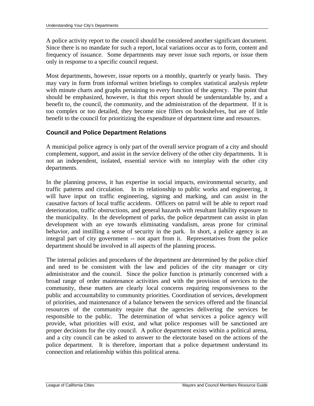A police activity report to the council should be considered another significant document. Since there is no mandate for such a report, local variations occur as to form, content and frequency of issuance. Some departments may never issue such reports, or issue them only in response to a specific council request.

Most departments, however, issue reports on a monthly, quarterly or yearly basis. They may vary in form from informal written briefings to complex statistical analysis replete with minute charts and graphs pertaining to every function of the agency. The point that should be emphasized, however, is that this report should be understandable by, and a benefit to, the council, the community, and the administration of the department. If it is too complex or too detailed, they become nice fillers on bookshelves, but are of little benefit to the council for prioritizing the expenditure of department time and resources.

# **Council and Police Department Relations**

A municipal police agency is only part of the overall service program of a city and should complement, support, and assist in the service delivery of the other city departments. It is not an independent, isolated, essential service with no interplay with the other city departments.

In the planning process, it has expertise in social impacts, environmental security, and traffic patterns and circulation. In its relationship to public works and engineering, it will have input on traffic engineering, signing and marking, and can assist in the causative factors of local traffic accidents. Officers on patrol will be able to report road deterioration, traffic obstructions, and general hazards with resultant liability exposure to the municipality. In the development of parks, the police department can assist in plan development with an eye towards eliminating vandalism, areas prone for criminal behavior, and instilling a sense of security in the park. In short, a police agency is an integral part of city government -- not apart from it. Representatives from the police department should be involved in all aspects of the planning process.

The internal policies and procedures of the department are determined by the police chief and need to be consistent with the law and policies of the city manager or city administrator and the council. Since the police function is primarily concerned with a broad range of order maintenance activities and with the provision of services to the community, these matters are clearly local concerns requiring responsiveness to the public and accountability to community priorities. Coordination of services, development of priorities, and maintenance of a balance between the services offered and the financial resources of the community require that the agencies delivering the services be responsible to the public. The determination of what services a police agency will provide, what priorities will exist, and what police responses will be sanctioned are proper decisions for the city council. A police department exists within a political arena, and a city council can be asked to answer to the electorate based on the actions of the police department. It is therefore, important that a police department understand its connection and relationship within this political arena.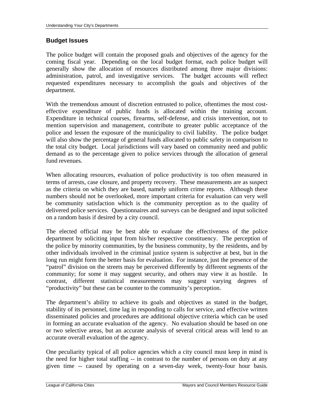#### **Budget Issues**

The police budget will contain the proposed goals and objectives of the agency for the coming fiscal year. Depending on the local budget format, each police budget will generally show the allocation of resources distributed among three major divisions: administration, patrol, and investigative services. The budget accounts will reflect requested expenditures necessary to accomplish the goals and objectives of the department.

With the tremendous amount of discretion entrusted to police, oftentimes the most costeffective expenditure of public funds is allocated within the training account. Expenditure in technical courses, firearms, self-defense, and crisis intervention, not to mention supervision and management, contribute to greater public acceptance of the police and lessen the exposure of the municipality to civil liability. The police budget will also show the percentage of general funds allocated to public safety in comparison to the total city budget. Local jurisdictions will vary based on community need and public demand as to the percentage given to police services through the allocation of general fund revenues.

When allocating resources, evaluation of police productivity is too often measured in terms of arrests, case closure, and property recovery. These measurements are as suspect as the criteria on which they are based, namely uniform crime reports. Although these numbers should not be overlooked, more important criteria for evaluation can very well be community satisfaction which is the community perception as to the quality of delivered police services. Questionnaires and surveys can be designed and input solicited on a random basis if desired by a city council.

The elected official may be best able to evaluate the effectiveness of the police department by soliciting input from his/her respective constituency. The perception of the police by minority communities, by the business community, by the residents, and by other individuals involved in the criminal justice system is subjective at best, but in the long run might form the better basis for evaluation. For instance, just the presence of the "patrol" division on the streets may be perceived differently by different segments of the community; for some it may suggest security, and others may view it as hostile. In contrast, different statistical measurements may suggest varying degrees of "productivity" but these can be counter to the community's perception.

The department's ability to achieve its goals and objectives as stated in the budget, stability of its personnel, time lag in responding to calls for service, and effective written disseminated policies and procedures are additional objective criteria which can be used in forming an accurate evaluation of the agency. No evaluation should be based on one or two selective areas, but an accurate analysis of several critical areas will lend to an accurate overall evaluation of the agency.

One peculiarity typical of all police agencies which a city council must keep in mind is the need for higher total staffing -- in contrast to the number of persons on duty at any given time -- caused by operating on a seven-day week, twenty-four hour basis.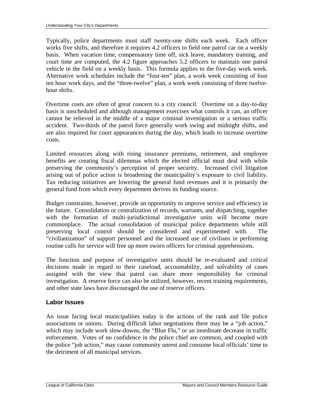Typically, police departments must staff twenty-one shifts each week. Each officer works five shifts, and therefore it requires 4.2 officers to field one patrol car on a weekly basis. When vacation time, compensatory time off, sick leave, mandatory training, and court time are computed, the 4.2 figure approaches 5.2 officers to maintain one patrol vehicle in the field on a weekly basis. This formula applies to the five-day work week. Alternative work schedules include the "four-ten" plan, a work week consisting of four ten hour work days, and the "three-twelve" plan, a work week consisting of three twelvehour shifts.

Overtime costs are often of great concern to a city council. Overtime on a day-to-day basis is unscheduled and although management exercises what controls it can, an officer cannot be relieved in the middle of a major criminal investigation or a serious traffic accident. Two-thirds of the patrol force generally work swing and midnight shifts, and are also required for court appearances during the day, which leads to increase overtime costs.

Limited resources along with rising insurance premiums, retirement, and employee benefits are creating fiscal dilemmas which the elected official must deal with while preserving the community's perception of proper security. Increased civil litigation arising out of police action is broadening the municipality's exposure to civil liability. Tax reducing initiatives are lowering the general fund revenues and it is primarily the general fund from which every department derives its funding source.

Budget constraints, however, provide an opportunity to improve service and efficiency in the future. Consolidation or centralization of records, warrants, and dispatching, together with the formation of multi-jurisdictional investigative units will become more commonplace. The actual consolidation of municipal police departments while still preserving local control should be considered and experimented with. The "civilianization" of support personnel and the increased use of civilians in performing routine calls for service will free up more sworn officers for criminal apprehensions.

The function and purpose of investigative units should be re-evaluated and critical decisions made in regard to their caseload, accountability, and solvability of cases assigned with the view that patrol can share more responsibility for criminal investigation. A reserve force can also be utilized, however, recent training requirements, and other state laws have discouraged the use of reserve officers.

# **Labor Issues**

An issue facing local municipalities today is the actions of the rank and file police associations or unions. During difficult labor negotiations there may be a "job action," which may include work slow-downs, the "Blue Flu," or an inordinate decrease in traffic enforcement. Votes of no confidence in the police chief are common, and coupled with the police "job action," may cause community unrest and consume local officials' time to the detriment of all municipal services.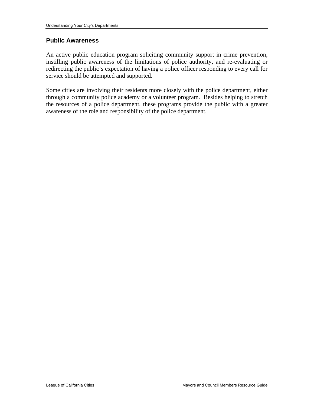#### **Public Awareness**

An active public education program soliciting community support in crime prevention, instilling public awareness of the limitations of police authority, and re-evaluating or redirecting the public's expectation of having a police officer responding to every call for service should be attempted and supported.

Some cities are involving their residents more closely with the police department, either through a community police academy or a volunteer program. Besides helping to stretch the resources of a police department, these programs provide the public with a greater awareness of the role and responsibility of the police department.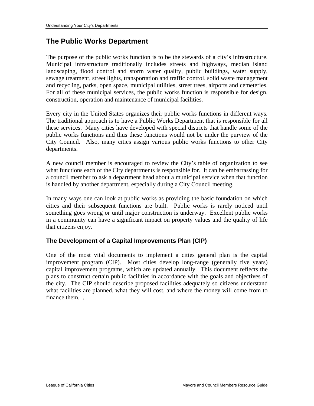# **The Public Works Department**

The purpose of the public works function is to be the stewards of a city's infrastructure. Municipal infrastructure traditionally includes streets and highways, median island landscaping, flood control and storm water quality, public buildings, water supply, sewage treatment, street lights, transportation and traffic control, solid waste management and recycling, parks, open space, municipal utilities, street trees, airports and cemeteries. For all of these municipal services, the public works function is responsible for design, construction, operation and maintenance of municipal facilities.

Every city in the United States organizes their public works functions in different ways. The traditional approach is to have a Public Works Department that is responsible for all these services. Many cities have developed with special districts that handle some of the public works functions and thus these functions would not be under the purview of the City Council. Also, many cities assign various public works functions to other City departments.

A new council member is encouraged to review the City's table of organization to see what functions each of the City departments is responsible for. It can be embarrassing for a council member to ask a department head about a municipal service when that function is handled by another department, especially during a City Council meeting.

In many ways one can look at public works as providing the basic foundation on which cities and their subsequent functions are built. Public works is rarely noticed until something goes wrong or until major construction is underway. Excellent public works in a community can have a significant impact on property values and the quality of life that citizens enjoy.

# **The Development of a Capital Improvements Plan (CIP)**

One of the most vital documents to implement a cities general plan is the capital improvement program (CIP). Most cities develop long-range (generally five years) capital improvement programs, which are updated annually. This document reflects the plans to construct certain public facilities in accordance with the goals and objectives of the city. The CIP should describe proposed facilities adequately so citizens understand what facilities are planned, what they will cost, and where the money will come from to finance them.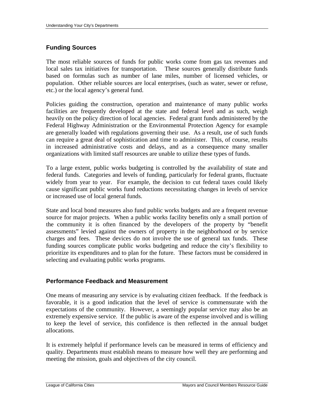# **Funding Sources**

The most reliable sources of funds for public works come from gas tax revenues and local sales tax initiatives for transportation. These sources generally distribute funds based on formulas such as number of lane miles, number of licensed vehicles, or population. Other reliable sources are local enterprises, (such as water, sewer or refuse, etc.) or the local agency's general fund.

Policies guiding the construction, operation and maintenance of many public works facilities are frequently developed at the state and federal level and as such, weigh heavily on the policy direction of local agencies. Federal grant funds administered by the Federal Highway Administration or the Environmental Protection Agency for example are generally loaded with regulations governing their use. As a result, use of such funds can require a great deal of sophistication and time to administer. This, of course, results in increased administrative costs and delays, and as a consequence many smaller organizations with limited staff resources are unable to utilize these types of funds.

To a large extent, public works budgeting is controlled by the availability of state and federal funds. Categories and levels of funding, particularly for federal grants, fluctuate widely from year to year. For example, the decision to cut federal taxes could likely cause significant public works fund reductions necessitating changes in levels of service or increased use of local general funds.

State and local bond measures also fund public works budgets and are a frequent revenue source for major projects. When a public works facility benefits only a small portion of the community it is often financed by the developers of the property by "benefit assessments" levied against the owners of property in the neighborhood or by service charges and fees. These devices do not involve the use of general tax funds. These funding sources complicate public works budgeting and reduce the city's flexibility to prioritize its expenditures and to plan for the future. These factors must be considered in selecting and evaluating public works programs.

# **Performance Feedback and Measurement**

One means of measuring any service is by evaluating citizen feedback. If the feedback is favorable, it is a good indication that the level of service is commensurate with the expectations of the community. However, a seemingly popular service may also be an extremely expensive service. If the public is aware of the expense involved and is willing to keep the level of service, this confidence is then reflected in the annual budget allocations.

It is extremely helpful if performance levels can be measured in terms of efficiency and quality. Departments must establish means to measure how well they are performing and meeting the mission, goals and objectives of the city council.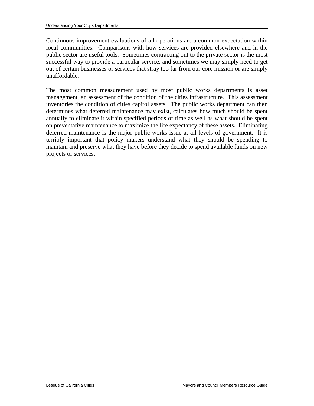Continuous improvement evaluations of all operations are a common expectation within local communities. Comparisons with how services are provided elsewhere and in the public sector are useful tools. Sometimes contracting out to the private sector is the most successful way to provide a particular service, and sometimes we may simply need to get out of certain businesses or services that stray too far from our core mission or are simply unaffordable.

The most common measurement used by most public works departments is asset management, an assessment of the condition of the cities infrastructure. This assessment inventories the condition of cities capitol assets. The public works department can then determines what deferred maintenance may exist, calculates how much should be spent annually to eliminate it within specified periods of time as well as what should be spent on preventative maintenance to maximize the life expectancy of these assets. Eliminating deferred maintenance is the major public works issue at all levels of government. It is terribly important that policy makers understand what they should be spending to maintain and preserve what they have before they decide to spend available funds on new projects or services.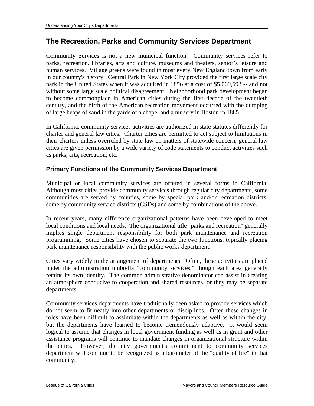# **The Recreation, Parks and Community Services Department**

Community Services is not a new municipal function. Community services refer to parks, recreation, libraries, arts and culture, museums and theaters, senior's leisure and human services. Village greens were found in most every New England town from early in our country's history. Central Park in New York City provided the first large scale city park in the United States when it was acquired in 1856 at a cost of \$5,069,693 -- and not without some large scale political disagreement! Neighborhood park development began to become commonplace in American cities during the first decade of the twentieth century, and the birth of the American recreation movement occurred with the dumping of large heaps of sand in the yards of a chapel and a nursery in Boston in 1885.

In California, community services activities are authorized in state statutes differently for charter and general law cities. Charter cities are permitted to act subject to limitations in their charters unless overruled by state law on matters of statewide concern; general law cities are given permission by a wide variety of code statements to conduct activities such as parks, arts, recreation, etc.

# **Primary Functions of the Community Services Department**

Municipal or local community services are offered in several forms in California. Although most cities provide community services through regular city departments, some communities are served by counties, some by special park and/or recreation districts, some by community service districts (CSDs) and some by combinations of the above.

In recent years, many difference organizational patterns have been developed to meet local conditions and local needs. The organizational title "parks and recreation" generally implies single department responsibility for both park maintenance and recreation programming. Some cities have chosen to separate the two functions, typically placing park maintenance responsibility with the public works department.

Cities vary widely in the arrangement of departments. Often, these activities are placed under the administration umbrella "community services," though each area generally retains its own identity. The common administrative denominator can assist in creating an atmosphere conducive to cooperation and shared resources, or they may be separate departments.

Community services departments have traditionally been asked to provide services which do not seem to fit neatly into other departments or disciplines. Often these changes in roles have been difficult to assimilate within the departments as well as within the city, but the departments have learned to become tremendously adaptive. It would seem logical to assume that changes in local government funding as well as in grant and other assistance programs will continue to mandate changes in organizational structure within the cities. However, the city government's commitment to community services department will continue to be recognized as a barometer of the "quality of life" in that community.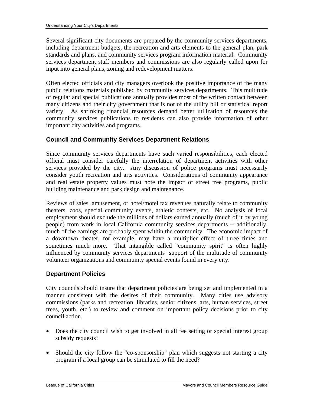Several significant city documents are prepared by the community services departments, including department budgets, the recreation and arts elements to the general plan, park standards and plans, and community services program information material. Community services department staff members and commissions are also regularly called upon for input into general plans, zoning and redevelopment matters.

Often elected officials and city managers overlook the positive importance of the many public relations materials published by community services departments. This multitude of regular and special publications annually provides most of the written contact between many citizens and their city government that is not of the utility bill or statistical report variety. As shrinking financial resources demand better utilization of resources the community services publications to residents can also provide information of other important city activities and programs.

# **Council and Community Services Department Relations**

Since community services departments have such varied responsibilities, each elected official must consider carefully the interrelation of department activities with other services provided by the city. Any discussion of police programs must necessarily consider youth recreation and arts activities. Considerations of community appearance and real estate property values must note the impact of street tree programs, public building maintenance and park design and maintenance.

Reviews of sales, amusement, or hotel/motel tax revenues naturally relate to community theaters, zoos, special community events, athletic contests, etc. No analysis of local employment should exclude the millions of dollars earned annually (much of it by young people) from work in local California community services departments -- additionally, much of the earnings are probably spent within the community. The economic impact of a downtown theater, for example, may have a multiplier effect of three times and sometimes much more. That intangible called "community spirit" is often highly influenced by community services departments' support of the multitude of community volunteer organizations and community special events found in every city.

#### **Department Policies**

City councils should insure that department policies are being set and implemented in a manner consistent with the desires of their community. Many cities use advisory commissions (parks and recreation, libraries, senior citizens, arts, human services, street trees, youth, etc.) to review and comment on important policy decisions prior to city council action.

- Does the city council wish to get involved in all fee setting or special interest group subsidy requests?
- Should the city follow the "co-sponsorship" plan which suggests not starting a city program if a local group can be stimulated to fill the need?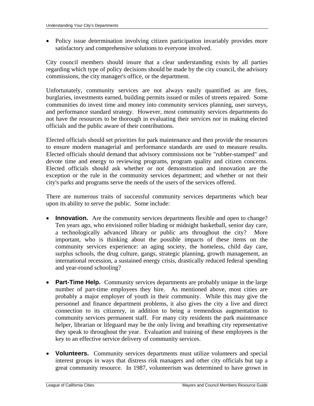• Policy issue determination involving citizen participation invariably provides more satisfactory and comprehensive solutions to everyone involved.

City council members should insure that a clear understanding exists by all parties regarding which type of policy decisions should be made by the city council, the advisory commissions, the city manager's office, or the department.

Unfortunately, community services are not always easily quantified as are fires, burglaries, investments earned, building permits issued or miles of streets repaired. Some communities do invest time and money into community services planning, user surveys, and performance standard strategy. However, most community services departments do not have the resources to be thorough in evaluating their services nor in making elected officials and the public aware of their contributions.

Elected officials should set priorities for park maintenance and then provide the resources to ensure modern managerial and performance standards are used to measure results. Elected officials should demand that advisory commissions not be "rubber-stamped" and devote time and energy to reviewing programs, program quality and citizen concerns. Elected officials should ask whether or not demonstration and innovation are the exception or the rule in the community services department; and whether or not their city's parks and programs serve the needs of the users of the services offered.

There are numerous traits of successful community services departments which bear upon its ability to serve the public. Some include:

- **Innovation.** Are the community services departments flexible and open to change? Ten years ago, who envisioned roller blading or midnight basketball, senior day care, a technologically advanced library or public arts throughout the city? More important, who is thinking about the possible impacts of these items on the community services experience: an aging society, the homeless, child day care, surplus schools, the drug culture, gangs, strategic planning, growth management, an international recession, a sustained energy crisis, drastically reduced federal spending and year-round schooling?
- **Part-Time Help.** Community services departments are probably unique in the large number of part-time employees they hire. As mentioned above, most cities are probably a major employer of youth in their community. While this may give the personnel and finance department problems, it also gives the city a live and direct connection to its citizenry, in addition to being a tremendous augmentation to community services permanent staff. For many city residents the park maintenance helper, librarian or lifeguard may be the only living and breathing city representative they speak to throughout the year. Evaluation and training of these employees is the key to an effective service delivery of community services.
- **Volunteers.** Community services departments must utilize volunteers and special interest groups in ways that distress risk managers and other city officials but tap a great community resource. In 1987, volunteerism was determined to have grown in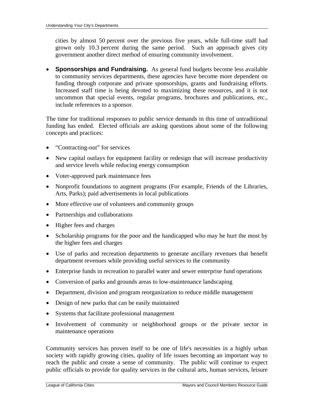cities by almost 50 percent over the previous five years, while full-time staff had grown only 10.3 percent during the same period. Such an approach gives city government another direct method of ensuring community involvement.

• **Sponsorships and Fundraising.** As general fund budgets become less available to community services departments, these agencies have become more dependent on funding through corporate and private sponsorships, grants and fundraising efforts. Increased staff time is being devoted to maximizing these resources, and it is not uncommon that special events, regular programs, brochures and publications, etc., include references to a sponsor.

The time for traditional responses to public service demands in this time of untraditional funding has ended. Elected officials are asking questions about some of the following concepts and practices:

- "Contracting-out" for services
- New capital outlays for equipment facility or redesign that will increase productivity and service levels while reducing energy consumption
- Voter-approved park maintenance fees
- Nonprofit foundations to augment programs (For example, Friends of the Libraries, Arts, Parks); paid advertisements in local publications
- More effective use of volunteers and community groups
- Partnerships and collaborations
- Higher fees and charges
- Scholarship programs for the poor and the handicapped who may be hurt the most by the higher fees and charges
- Use of parks and recreation departments to generate ancillary revenues that benefit department revenues while providing useful services to the community
- Enterprise funds in recreation to parallel water and sewer enterprise fund operations
- Conversion of parks and grounds areas to low-maintenance landscaping
- Department, division and program reorganization to reduce middle management
- Design of new parks that can be easily maintained
- Systems that facilitate professional management
- Involvement of community or neighborhood groups or the private sector in maintenance operations

Community services has proven itself to be one of life's necessities in a highly urban society with rapidly growing cities, quality of life issues becoming an important way to reach the public and create a sense of community. The public will continue to expect public officials to provide for quality services in the cultural arts, human services, leisure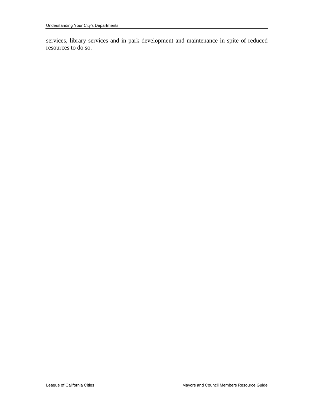services, library services and in park development and maintenance in spite of reduced resources to do so.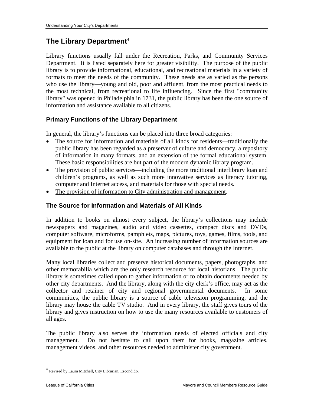# **The Library Department**<sup>4</sup>

Library functions usually fall under the Recreation, Parks, and Community Services Department. It is listed separately here for greater visibility. The purpose of the public library is to provide informational, educational, and recreational materials in a variety of formats to meet the needs of the community. These needs are as varied as the persons who use the library—young and old, poor and affluent, from the most practical needs to the most technical, from recreational to life influencing. Since the first "community library" was opened in Philadelphia in 1731, the public library has been the one source of information and assistance available to all citizens.

# **Primary Functions of the Library Department**

In general, the library's functions can be placed into three broad categories:

- The source for information and materials of all kinds for residents—traditionally the public library has been regarded as a preserver of culture and democracy, a repository of information in many formats, and an extension of the formal educational system. These basic responsibilities are but part of the modern dynamic library program.
- The provision of public services—including the more traditional interlibrary loan and children's programs, as well as such more innovative services as literacy tutoring, computer and Internet access, and materials for those with special needs.
- The provision of information to City administration and management.

# **The Source for Information and Materials of All Kinds**

In addition to books on almost every subject, the library's collections may include newspapers and magazines, audio and video cassettes, compact discs and DVDs, computer software, microforms, pamphlets, maps, pictures, toys, games, films, tools, and equipment for loan and for use on-site. An increasing number of information sources are available to the public at the library on computer databases and through the Internet.

Many local libraries collect and preserve historical documents, papers, photographs, and other memorabilia which are the only research resource for local historians. The public library is sometimes called upon to gather information or to obtain documents needed by other city departments. And the library, along with the city clerk's office, may act as the collector and retainer of city and regional governmental documents. In some communities, the public library is a source of cable television programming, and the library may house the cable TV studio. And in every library, the staff gives tours of the library and gives instruction on how to use the many resources available to customers of all ages.

The public library also serves the information needs of elected officials and city management. Do not hesitate to call upon them for books, magazine articles, management videos, and other resources needed to administer city government.

 $\overline{a}$ 

<sup>4</sup> Revised by Laura Mitchell, City Librarian, Escondido.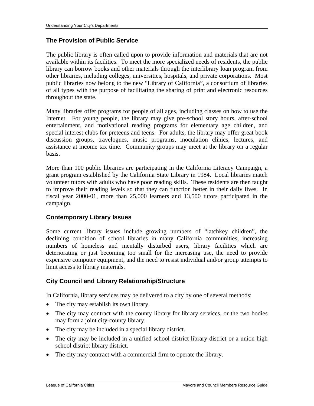#### **The Provision of Public Service**

The public library is often called upon to provide information and materials that are not available within its facilities. To meet the more specialized needs of residents, the public library can borrow books and other materials through the interlibrary loan program from other libraries, including colleges, universities, hospitals, and private corporations. Most public libraries now belong to the new "Library of California", a consortium of libraries of all types with the purpose of facilitating the sharing of print and electronic resources throughout the state.

Many libraries offer programs for people of all ages, including classes on how to use the Internet. For young people, the library may give pre-school story hours, after-school entertainment, and motivational reading programs for elementary age children, and special interest clubs for preteens and teens. For adults, the library may offer great book discussion groups, travelogues, music programs, inoculation clinics, lectures, and assistance at income tax time. Community groups may meet at the library on a regular basis.

More than 100 public libraries are participating in the California Literacy Campaign, a grant program established by the California State Library in 1984. Local libraries match volunteer tutors with adults who have poor reading skills. These residents are then taught to improve their reading levels so that they can function better in their daily lives. In fiscal year 2000-01, more than 25,000 learners and 13,500 tutors participated in the campaign.

#### **Contemporary Library Issues**

Some current library issues include growing numbers of "latchkey children", the declining condition of school libraries in many California communities, increasing numbers of homeless and mentally disturbed users, library facilities which are deteriorating or just becoming too small for the increasing use, the need to provide expensive computer equipment, and the need to resist individual and/or group attempts to limit access to library materials.

#### **City Council and Library Relationship/Structure**

In California, library services may be delivered to a city by one of several methods:

- The city may establish its own library.
- The city may contract with the county library for library services, or the two bodies may form a joint city-county library.
- The city may be included in a special library district.
- The city may be included in a unified school district library district or a union high school district library district.
- The city may contract with a commercial firm to operate the library.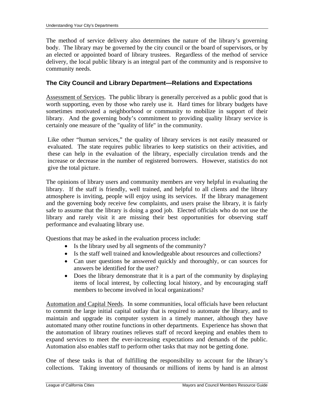The method of service delivery also determines the nature of the library's governing body. The library may be governed by the city council or the board of supervisors, or by an elected or appointed board of library trustees. Regardless of the method of service delivery, the local public library is an integral part of the community and is responsive to community needs.

#### **The City Council and Library Department—Relations and Expectations**

Assessment of Services. The public library is generally perceived as a public good that is worth supporting, even by those who rarely use it. Hard times for library budgets have sometimes motivated a neighborhood or community to mobilize in support of their library. And the governing body's commitment to providing quality library service is certainly one measure of the "quality of life" in the community.

Like other "human services," the quality of library services is not easily measured or evaluated. The state requires public libraries to keep statistics on their activities, and these can help in the evaluation of the library, especially circulation trends and the increase or decrease in the number of registered borrowers. However, statistics do not give the total picture.

The opinions of library users and community members are very helpful in evaluating the library. If the staff is friendly, well trained, and helpful to all clients and the library atmosphere is inviting, people will enjoy using its services. If the library management and the governing body receive few complaints, and users praise the library, it is fairly safe to assume that the library is doing a good job. Elected officials who do not use the library and rarely visit it are missing their best opportunities for observing staff performance and evaluating library use.

Questions that may be asked in the evaluation process include:

- Is the library used by all segments of the community?
- Is the staff well trained and knowledgeable about resources and collections?
- Can user questions be answered quickly and thoroughly, or can sources for answers be identified for the user?
- Does the library demonstrate that it is a part of the community by displaying items of local interest, by collecting local history, and by encouraging staff members to become involved in local organizations?

Automation and Capital Needs. In some communities, local officials have been reluctant to commit the large initial capital outlay that is required to automate the library, and to maintain and upgrade its computer system in a timely manner, although they have automated many other routine functions in other departments. Experience has shown that the automation of library routines relieves staff of record keeping and enables them to expand services to meet the ever-increasing expectations and demands of the public. Automation also enables staff to perform other tasks that may not be getting done.

One of these tasks is that of fulfilling the responsibility to account for the library's collections. Taking inventory of thousands or millions of items by hand is an almost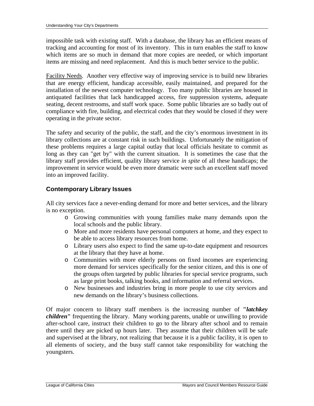impossible task with existing staff. With a database, the library has an efficient means of tracking and accounting for most of its inventory. This in turn enables the staff to know which items are so much in demand that more copies are needed, or which important items are missing and need replacement. And this is much better service to the public.

Facility Needs. Another very effective way of improving service is to build new libraries that are energy efficient, handicap accessible, easily maintained, and prepared for the installation of the newest computer technology. Too many public libraries are housed in antiquated facilities that lack handicapped access, fire suppression systems, adequate seating, decent restrooms, and staff work space. Some public libraries are so badly out of compliance with fire, building, and electrical codes that they would be closed if they were operating in the private sector.

The safety and security of the public, the staff, and the city's enormous investment in its library collections are at constant risk in such buildings. Unfortunately the mitigation of these problems requires a large capital outlay that local officials hesitate to commit as long as they can "get by" with the current situation. It is sometimes the case that the library staff provides efficient, quality library service *in spite* of all these handicaps; the improvement in service would be even more dramatic were such an excellent staff moved into an improved facility.

# **Contemporary Library Issues**

All city services face a never-ending demand for more and better services, and the library is no exception.

- o Growing communities with young families make many demands upon the local schools and the public library.
- o More and more residents have personal computers at home, and they expect to be able to access library resources from home.
- o Library users also expect to find the same up-to-date equipment and resources at the library that they have at home.
- o Communities with more elderly persons on fixed incomes are experiencing more demand for services specifically for the senior citizen, and this is one of the groups often targeted by public libraries for special service programs, such as large print books, talking books, and information and referral services.
- o New businesses and industries bring in more people to use city services and new demands on the library's business collections.

Of major concern to library staff members is the increasing number of **"***latchkey children***"** frequenting the library. Many working parents, unable or unwilling to provide after-school care, instruct their children to go to the library after school and to remain there until they are picked up hours later. They assume that their children will be safe and supervised at the library, not realizing that because it is a public facility, it is open to all elements of society, and the busy staff cannot take responsibility for watching the youngsters.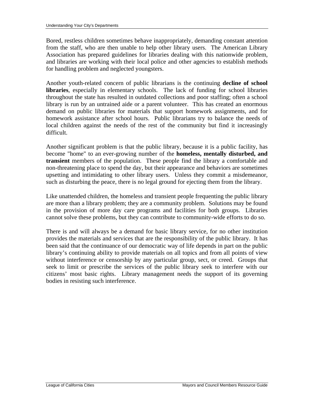Bored, restless children sometimes behave inappropriately, demanding constant attention from the staff, who are then unable to help other library users. The American Library Association has prepared guidelines for libraries dealing with this nationwide problem, and libraries are working with their local police and other agencies to establish methods for handling problem and neglected youngsters.

Another youth-related concern of public librarians is the continuing **decline of school libraries**, especially in elementary schools. The lack of funding for school libraries throughout the state has resulted in outdated collections and poor staffing; often a school library is run by an untrained aide or a parent volunteer. This has created an enormous demand on public libraries for materials that support homework assignments, and for homework assistance after school hours. Public librarians try to balance the needs of local children against the needs of the rest of the community but find it increasingly difficult.

Another significant problem is that the public library, because it is a public facility, has become "home" to an ever-growing number of the **homeless, mentally disturbed, and transient** members of the population. These people find the library a comfortable and non-threatening place to spend the day, but their appearance and behaviors are sometimes upsetting and intimidating to other library users. Unless they commit a misdemeanor, such as disturbing the peace, there is no legal ground for ejecting them from the library.

Like unattended children, the homeless and transient people frequenting the public library are more than a library problem; they are a community problem. Solutions may be found in the provision of more day care programs and facilities for both groups. Libraries cannot solve these problems, but they can contribute to community-wide efforts to do so.

There is and will always be a demand for basic library service, for no other institution provides the materials and services that are the responsibility of the public library. It has been said that the continuance of our democratic way of life depends in part on the public library's continuing ability to provide materials on all topics and from all points of view without interference or censorship by any particular group, sect, or creed. Groups that seek to limit or prescribe the services of the public library seek to interfere with our citizens' most basic rights. Library management needs the support of its governing bodies in resisting such interference.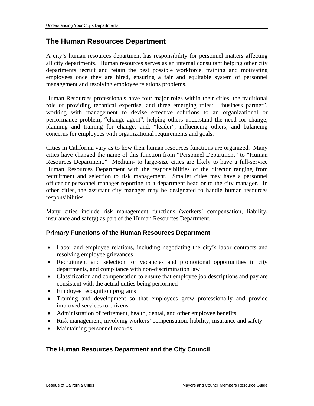# **The Human Resources Department**

A city's human resources department has responsibility for personnel matters affecting all city departments. Human resources serves as an internal consultant helping other city departments recruit and retain the best possible workforce, training and motivating employees once they are hired, ensuring a fair and equitable system of personnel management and resolving employee relations problems.

Human Resources professionals have four major roles within their cities, the traditional role of providing technical expertise, and three emerging roles: "business partner", working with management to devise effective solutions to an organizational or performance problem; "change agent", helping others understand the need for change, planning and training for change; and, "leader", influencing others, and balancing concerns for employees with organizational requirements and goals.

Cities in California vary as to how their human resources functions are organized. Many cities have changed the name of this function from "Personnel Department" to "Human Resources Department." Medium- to large-size cities are likely to have a full-service Human Resources Department with the responsibilities of the director ranging from recruitment and selection to risk management. Smaller cities may have a personnel officer or personnel manager reporting to a department head or to the city manager. In other cities, the assistant city manager may be designated to handle human resources responsibilities.

Many cities include risk management functions (workers' compensation, liability, insurance and safety) as part of the Human Resources Department.

# **Primary Functions of the Human Resources Department**

- Labor and employee relations, including negotiating the city's labor contracts and resolving employee grievances
- Recruitment and selection for vacancies and promotional opportunities in city departments, and compliance with non-discrimination law
- Classification and compensation to ensure that employee job descriptions and pay are consistent with the actual duties being performed
- Employee recognition programs
- Training and development so that employees grow professionally and provide improved services to citizens
- Administration of retirement, health, dental, and other employee benefits
- Risk management, involving workers' compensation, liability, insurance and safety
- Maintaining personnel records

# **The Human Resources Department and the City Council**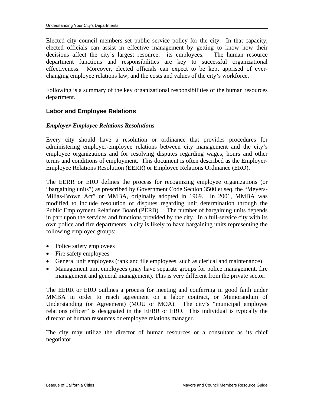Elected city council members set public service policy for the city. In that capacity, elected officials can assist in effective management by getting to know how their decisions affect the city's largest resource: its employees. The human resource department functions and responsibilities are key to successful organizational effectiveness. Moreover, elected officials can expect to be kept apprised of everchanging employee relations law, and the costs and values of the city's workforce.

Following is a summary of the key organizational responsibilities of the human resources department.

#### **Labor and Employee Relations**

#### *Employer-Employee Relations Resolutions*

Every city should have a resolution or ordinance that provides procedures for administering employer-employee relations between city management and the city's employee organizations and for resolving disputes regarding wages, hours and other terms and conditions of employment. This document is often described as the Employer-Employee Relations Resolution (EERR) or Employee Relations Ordinance (ERO).

The EERR or ERO defines the process for recognizing employee organizations (or "bargaining units") as prescribed by Government Code Section 3500 et seq, the "Meyers-Milias-Brown Act" or MMBA, originally adopted in 1969. In 2001, MMBA was modified to include resolution of disputes regarding unit determination through the Public Employment Relations Board (PERB). The number of bargaining units depends in part upon the services and functions provided by the city. In a full-service city with its own police and fire departments, a city is likely to have bargaining units representing the following employee groups:

- Police safety employees
- Fire safety employees
- General unit employees (rank and file employees, such as clerical and maintenance)
- Management unit employees (may have separate groups for police management, fire management and general management). This is very different from the private sector.

The EERR or ERO outlines a process for meeting and conferring in good faith under MMBA in order to reach agreement on a labor contract, or Memorandum of Understanding (or Agreement) (MOU or MOA). The city's "municipal employee relations officer" is designated in the EERR or ERO. This individual is typically the director of human resources or employee relations manager.

The city may utilize the director of human resources or a consultant as its chief negotiator.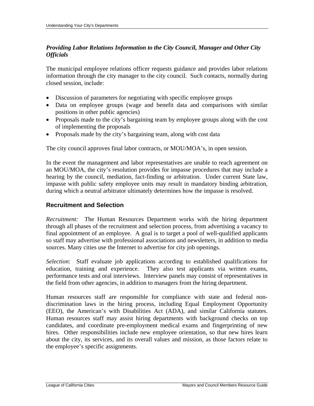# *Providing Labor Relations Information to the City Council, Manager and Other City Officials*

The municipal employee relations officer requests guidance and provides labor relations information through the city manager to the city council. Such contacts, normally during closed session, include:

- Discussion of parameters for negotiating with specific employee groups
- Data on employee groups (wage and benefit data and comparisons with similar positions in other public agencies)
- Proposals made to the city's bargaining team by employee groups along with the cost of implementing the proposals
- Proposals made by the city's bargaining team, along with cost data

The city council approves final labor contracts, or MOU/MOA's, in open session.

In the event the management and labor representatives are unable to reach agreement on an MOU/MOA, the city's resolution provides for impasse procedures that may include a hearing by the council, mediation, fact-finding or arbitration. Under current State law, impasse with public safety employee units may result in mandatory binding arbitration, during which a neutral arbitrator ultimately determines how the impasse is resolved.

# **Recruitment and Selection**

*Recruitment:* The Human Resources Department works with the hiring department through all phases of the recruitment and selection process, from advertising a vacancy to final appointment of an employee. A goal is to target a pool of well-qualified applicants so staff may advertise with professional associations and newsletters, in addition to media sources. Many cities use the Internet to advertise for city job openings.

*Selection*: Staff evaluate job applications according to established qualifications for education, training and experience. They also test applicants via written exams, performance tests and oral interviews. Interview panels may consist of representatives in the field from other agencies, in addition to managers from the hiring department.

Human resources staff are responsible for compliance with state and federal nondiscrimination laws in the hiring process, including Equal Employment Opportunity (EEO), the American's with Disabilities Act (ADA), and similar California statutes. Human resources staff may assist hiring departments with background checks on top candidates, and coordinate pre-employment medical exams and fingerprinting of new hires. Other responsibilities include new employee orientation, so that new hires learn about the city, its services, and its overall values and mission, as those factors relate to the employee's specific assignments.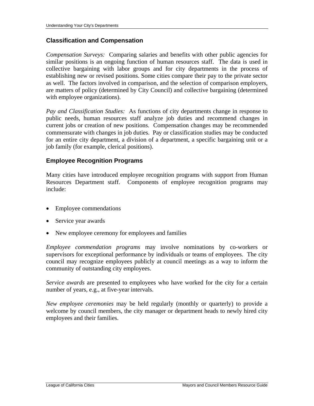#### **Classification and Compensation**

*Compensation Surveys:* Comparing salaries and benefits with other public agencies for similar positions is an ongoing function of human resources staff. The data is used in collective bargaining with labor groups and for city departments in the process of establishing new or revised positions. Some cities compare their pay to the private sector as well. The factors involved in comparison, and the selection of comparison employers, are matters of policy (determined by City Council) and collective bargaining (determined with employee organizations).

*Pay and Classification Studies:* As functions of city departments change in response to public needs, human resources staff analyze job duties and recommend changes in current jobs or creation of new positions. Compensation changes may be recommended commensurate with changes in job duties. Pay or classification studies may be conducted for an entire city department, a division of a department, a specific bargaining unit or a job family (for example, clerical positions).

# **Employee Recognition Programs**

Many cities have introduced employee recognition programs with support from Human Resources Department staff. Components of employee recognition programs may include:

- Employee commendations
- Service year awards
- New employee ceremony for employees and families

*Employee commendation programs* may involve nominations by co-workers or supervisors for exceptional performance by individuals or teams of employees. The city council may recognize employees publicly at council meetings as a way to inform the community of outstanding city employees.

*Service awards* are presented to employees who have worked for the city for a certain number of years, e.g., at five-year intervals.

*New employee ceremonies* may be held regularly (monthly or quarterly) to provide a welcome by council members, the city manager or department heads to newly hired city employees and their families.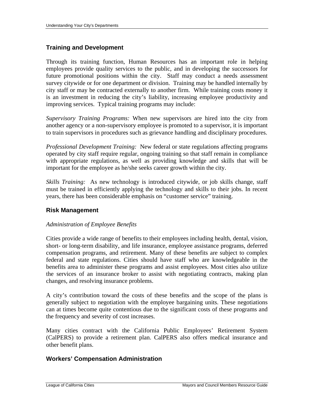# **Training and Development**

Through its training function, Human Resources has an important role in helping employees provide quality services to the public, and in developing the successors for future promotional positions within the city. Staff may conduct a needs assessment survey citywide or for one department or division. Training may be handled internally by city staff or may be contracted externally to another firm. While training costs money it is an investment in reducing the city's liability, increasing employee productivity and improving services. Typical training programs may include:

*Supervisory Training Programs:* When new supervisors are hired into the city from another agency or a non-supervisory employee is promoted to a supervisor, it is important to train supervisors in procedures such as grievance handling and disciplinary procedures.

*Professional Development Training:* New federal or state regulations affecting programs operated by city staff require regular, ongoing training so that staff remain in compliance with appropriate regulations, as well as providing knowledge and skills that will be important for the employee as he/she seeks career growth within the city.

*Skills Training:* As new technology is introduced citywide, or job skills change, staff must be trained in efficiently applying the technology and skills to their jobs. In recent years, there has been considerable emphasis on "customer service" training.

# **Risk Management**

#### *Administration of Employee Benefits*

Cities provide a wide range of benefits to their employees including health, dental, vision, short- or long-term disability, and life insurance, employee assistance programs, deferred compensation programs, and retirement. Many of these benefits are subject to complex federal and state regulations. Cities should have staff who are knowledgeable in the benefits area to administer these programs and assist employees. Most cities also utilize the services of an insurance broker to assist with negotiating contracts, making plan changes, and resolving insurance problems.

A city's contribution toward the costs of these benefits and the scope of the plans is generally subject to negotiation with the employee bargaining units. These negotiations can at times become quite contentious due to the significant costs of these programs and the frequency and severity of cost increases.

Many cities contract with the California Public Employees' Retirement System (CalPERS) to provide a retirement plan. CalPERS also offers medical insurance and other benefit plans.

# **Workers' Compensation Administration**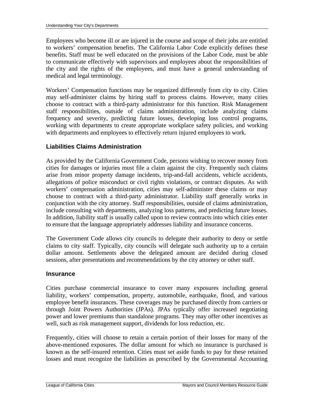Employees who become ill or are injured in the course and scope of their jobs are entitled to workers' compensation benefits. The California Labor Code explicitly defines these benefits. Staff must be well educated on the provisions of the Labor Code, must be able to communicate effectively with supervisors and employees about the responsibilities of the city and the rights of the employees, and must have a general understanding of medical and legal terminology.

Workers' Compensation functions may be organized differently from city to city. Cities may self-administer claims by hiring staff to process claims. However, many cities choose to contract with a third-party administrator for this function. Risk Management staff responsibilities, outside of claims administration, include analyzing claims frequency and severity, predicting future losses, developing loss control programs, working with departments to create appropriate workplace safety policies, and working with departments and employees to effectively return injured employees to work.

#### **Liabilities Claims Administration**

As provided by the California Government Code, persons wishing to recover money from cities for damages or injuries must file a claim against the city. Frequently such claims arise from minor property damage incidents, trip-and-fall accidents, vehicle accidents, allegations of police misconduct or civil rights violations, or contract disputes. As with workers' compensation administration, cities may self-administer these claims or may choose to contract with a third-party administrator. Liability staff generally works in conjunction with the city attorney. Staff responsibilities, outside of claims administration, include consulting with departments, analyzing loss patterns, and predicting future losses. In addition, liability staff is usually called upon to review contracts into which cities enter to ensure that the language appropriately addresses liability and insurance concerns.

The Government Code allows city councils to delegate their authority to deny or settle claims to city staff. Typically, city councils will delegate such authority up to a certain dollar amount. Settlements above the delegated amount are decided during closed sessions, after presentations and recommendations by the city attorney or other staff.

#### **Insurance**

Cities purchase commercial insurance to cover many exposures including general liability, workers' compensation, property, automobile, earthquake, flood, and various employee benefit insurances. These coverages may be purchased directly from carriers or through Joint Powers Authorities (JPAs). JPAs typically offer increased negotiating power and lower premiums than standalone programs. They may offer other incentives as well, such as risk management support, dividends for loss reduction, etc.

Frequently, cities will choose to retain a certain portion of their losses for many of the above-mentioned exposures. The dollar amount for which no insurance is purchased is known as the self-insured retention. Cities must set aside funds to pay for these retained losses and must recognize the liabilities as prescribed by the Governmental Accounting